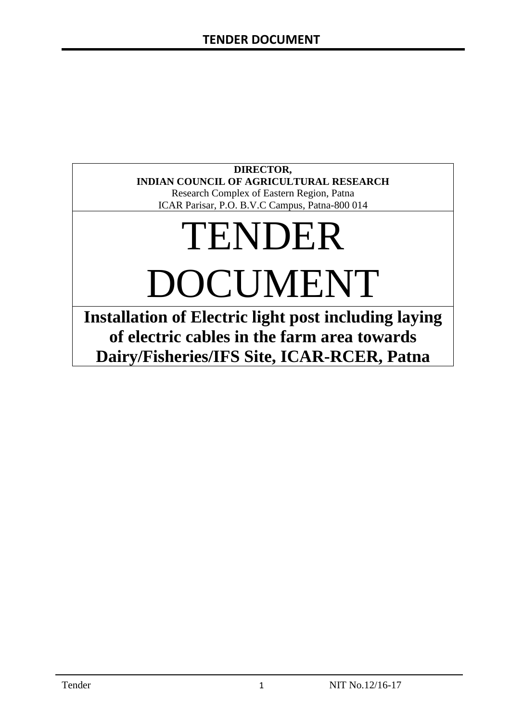# **DIRECTOR, INDIAN COUNCIL OF AGRICULTURAL RESEARCH**

Research Complex of Eastern Region, Patna ICAR Parisar, P.O. B.V.C Campus, Patna-800 014

# TENDER DOCUMENT

**Installation of Electric light post including laying of electric cables in the farm area towards Dairy/Fisheries/IFS Site, ICAR-RCER, Patna**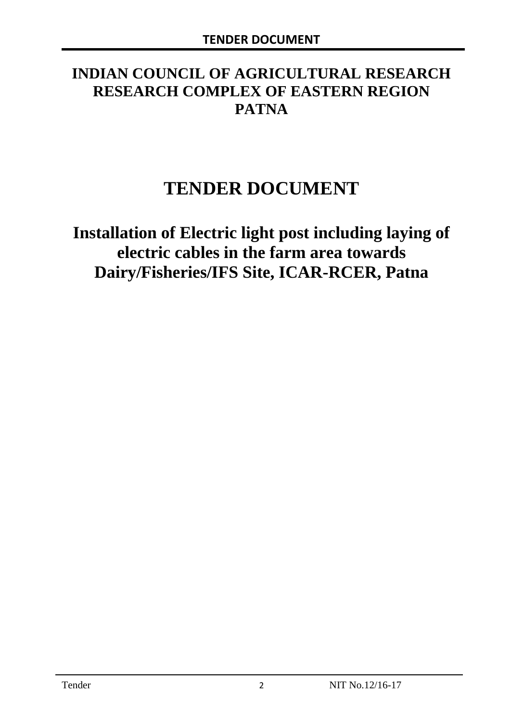# **INDIAN COUNCIL OF AGRICULTURAL RESEARCH RESEARCH COMPLEX OF EASTERN REGION PATNA**

# **TENDER DOCUMENT**

**Installation of Electric light post including laying of electric cables in the farm area towards Dairy/Fisheries/IFS Site, ICAR-RCER, Patna**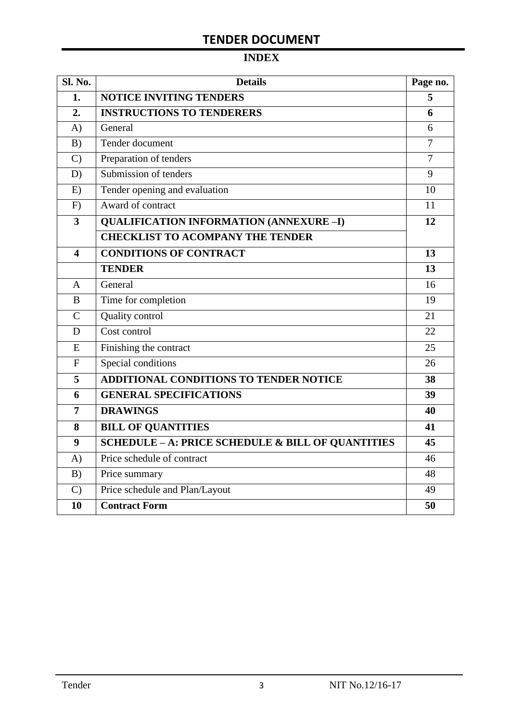# **INDEX**

| Sl. No.                 | <b>Details</b>                                    |                |  |  |
|-------------------------|---------------------------------------------------|----------------|--|--|
| 1.                      | <b>NOTICE INVITING TENDERS</b>                    |                |  |  |
| 2.                      | <b>INSTRUCTIONS TO TENDERERS</b>                  |                |  |  |
| A)                      | General                                           | 6              |  |  |
| B)                      | Tender document                                   | 7              |  |  |
| $\mathcal{C}$           | Preparation of tenders                            | $\overline{7}$ |  |  |
| D)                      | Submission of tenders                             | 9              |  |  |
| E)                      | Tender opening and evaluation                     | 10             |  |  |
| F)                      | Award of contract                                 | 11             |  |  |
| $\overline{\mathbf{3}}$ | <b>QUALIFICATION INFORMATION (ANNEXURE-I)</b>     | 12             |  |  |
|                         | <b>CHECKLIST TO ACOMPANY THE TENDER</b>           |                |  |  |
| 4                       | <b>CONDITIONS OF CONTRACT</b>                     | 13             |  |  |
|                         | <b>TENDER</b>                                     | 13             |  |  |
| $\overline{A}$          | General                                           | 16             |  |  |
| B                       | Time for completion                               | 19             |  |  |
| $\overline{C}$          | Quality control                                   | 21             |  |  |
| D                       | Cost control                                      | 22             |  |  |
| E                       | Finishing the contract                            | 25             |  |  |
| $\mathbf{F}$            | Special conditions                                | 26             |  |  |
| 5                       | <b>ADDITIONAL CONDITIONS TO TENDER NOTICE</b>     | 38             |  |  |
| 6                       | <b>GENERAL SPECIFICATIONS</b>                     | 39             |  |  |
| $\overline{7}$          | <b>DRAWINGS</b>                                   | 40             |  |  |
| 8                       | <b>BILL OF QUANTITIES</b>                         | 41             |  |  |
| 9                       | SCHEDULE - A: PRICE SCHEDULE & BILL OF QUANTITIES | 45             |  |  |
| A)                      | Price schedule of contract                        | 46             |  |  |
| B)                      | Price summary                                     | 48             |  |  |
| $\mathcal{C}$           | Price schedule and Plan/Layout                    | 49             |  |  |
| 10                      | <b>Contract Form</b>                              | 50             |  |  |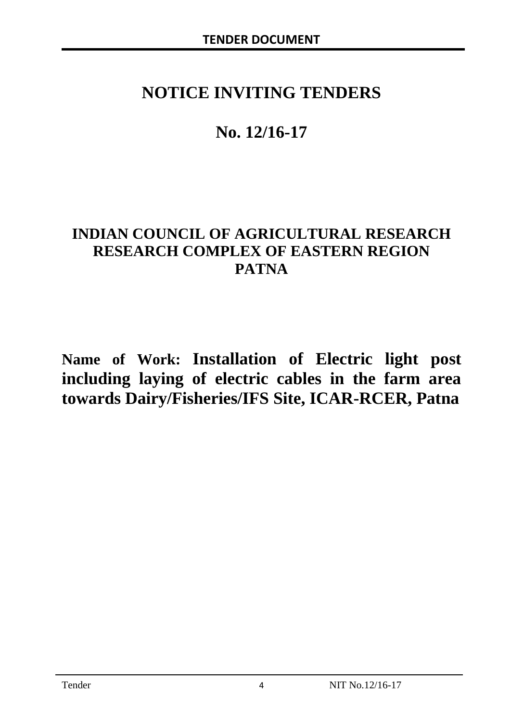# **NOTICE INVITING TENDERS**

# **No. 12/16-17**

# **INDIAN COUNCIL OF AGRICULTURAL RESEARCH RESEARCH COMPLEX OF EASTERN REGION PATNA**

**Name of Work: Installation of Electric light post including laying of electric cables in the farm area towards Dairy/Fisheries/IFS Site, ICAR-RCER, Patna**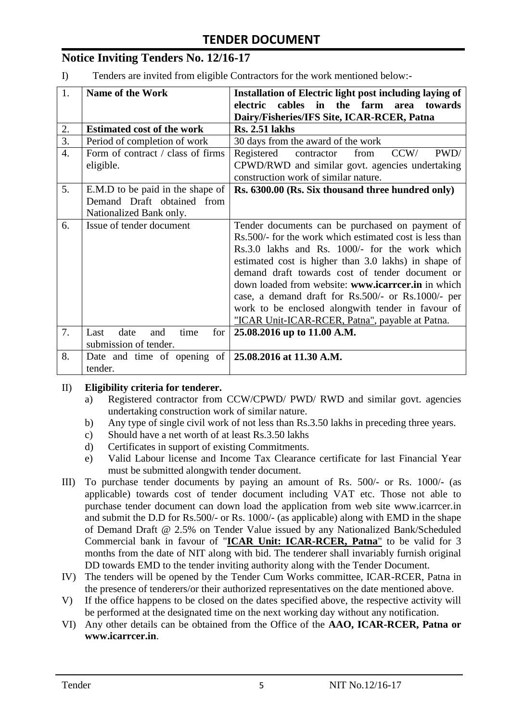# **Notice Inviting Tenders No. 12/16-17**

I) Tenders are invited from eligible Contractors for the work mentioned below:-

| 1.               | <b>Name of the Work</b>                                      | Installation of Electric light post including laying of |
|------------------|--------------------------------------------------------------|---------------------------------------------------------|
|                  |                                                              | electric cables in the farm<br>area towards             |
|                  |                                                              | Dairy/Fisheries/IFS Site, ICAR-RCER, Patna              |
| 2.               | <b>Estimated cost of the work</b>                            | <b>Rs. 2.51 lakhs</b>                                   |
| 3.               | Period of completion of work                                 | 30 days from the award of the work                      |
| $\overline{4}$ . | Form of contract / class of firms                            | contractor<br>CCW/<br>Registered<br>PWD/<br>from        |
|                  | eligible.                                                    | CPWD/RWD and similar govt. agencies undertaking         |
|                  |                                                              | construction work of similar nature.                    |
| 5.               | E.M.D to be paid in the shape of                             | Rs. 6300.00 (Rs. Six thousand three hundred only)       |
|                  | Demand Draft obtained from                                   |                                                         |
|                  | Nationalized Bank only.                                      |                                                         |
| 6.               | Issue of tender document                                     | Tender documents can be purchased on payment of         |
|                  |                                                              | Rs.500/- for the work which estimated cost is less than |
|                  |                                                              | Rs.3.0 lakhs and Rs. 1000/- for the work which          |
|                  |                                                              | estimated cost is higher than 3.0 lakhs) in shape of    |
|                  |                                                              | demand draft towards cost of tender document or         |
|                  |                                                              | down loaded from website: www.icarreer.in in which      |
|                  |                                                              | case, a demand draft for Rs.500/- or Rs.1000/- per      |
|                  |                                                              | work to be enclosed alongwith tender in favour of       |
|                  |                                                              | "ICAR Unit-ICAR-RCER, Patna", payable at Patna.         |
| 7.               | date<br>time<br>for <sub>1</sub><br>Last<br>and              | 25.08.2016 up to 11.00 A.M.                             |
|                  | submission of tender.                                        |                                                         |
| 8.               | Date and time of opening of $\vert 25.08.2016$ at 11.30 A.M. |                                                         |
|                  | tender.                                                      |                                                         |

#### II) **Eligibility criteria for tenderer.**

- a) Registered contractor from CCW/CPWD/ PWD/ RWD and similar govt. agencies undertaking construction work of similar nature.
- b) Any type of single civil work of not less than Rs.3.50 lakhs in preceding three years.
- c) Should have a net worth of at least Rs.3.50 lakhs
- d) Certificates in support of existing Commitments.
- e) Valid Labour license and Income Tax Clearance certificate for last Financial Year must be submitted alongwith tender document.
- III) To purchase tender documents by paying an amount of Rs. 500/- or Rs. 1000/- (as applicable) towards cost of tender document including VAT etc. Those not able to purchase tender document can down load the application from web site www.icarrcer.in and submit the D.D for Rs.500/- or Rs. 1000/- (as applicable) along with EMD in the shape of Demand Draft @ 2.5% on Tender Value issued by any Nationalized Bank/Scheduled Commercial bank in favour of "**ICAR Unit: ICAR-RCER, Patna**" to be valid for 3 months from the date of NIT along with bid. The tenderer shall invariably furnish original DD towards EMD to the tender inviting authority along with the Tender Document.
- IV) The tenders will be opened by the Tender Cum Works committee, ICAR-RCER, Patna in the presence of tenderers/or their authorized representatives on the date mentioned above.
- V) If the office happens to be closed on the dates specified above, the respective activity will be performed at the designated time on the next working day without any notification.
- VI) Any other details can be obtained from the Office of the **AAO, ICAR-RCER, Patna or www.icarrcer.in**.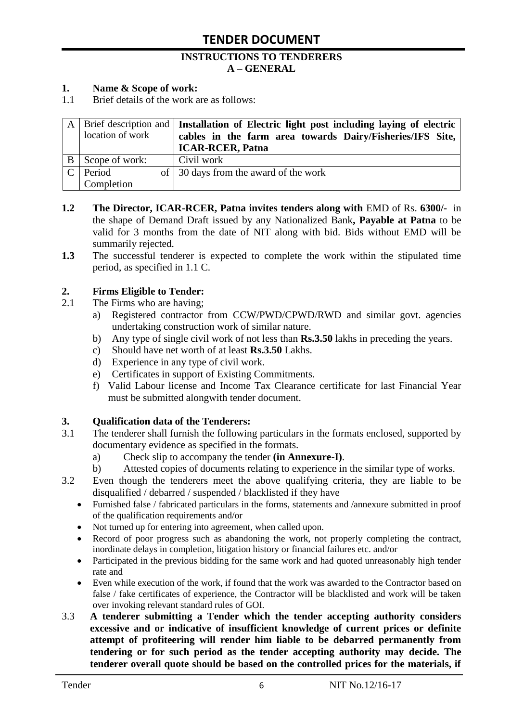#### **INSTRUCTIONS TO TENDERERS A – GENERAL**

#### **1. Name & Scope of work:**

1.1 Brief details of the work are as follows:

|        | location of work | A   Brief description and   Installation of Electric light post including laying of electric<br>cables in the farm area towards Dairy/Fisheries/IFS Site,<br><b>ICAR-RCER, Patna</b> |
|--------|------------------|--------------------------------------------------------------------------------------------------------------------------------------------------------------------------------------|
| B      | Scope of work:   | Civil work                                                                                                                                                                           |
| $\cap$ | Period           | of 30 days from the award of the work                                                                                                                                                |
|        | Completion       |                                                                                                                                                                                      |

- **1.2** The Director, ICAR-RCER, Patna invites tenders along with EMD of Rs. 6300/- in the shape of Demand Draft issued by any Nationalized Bank**, Payable at Patna** to be valid for 3 months from the date of NIT along with bid. Bids without EMD will be summarily rejected.
- **1.3** The successful tenderer is expected to complete the work within the stipulated time period, as specified in 1.1 C.

#### **2. Firms Eligible to Tender:**

- 2.1 The Firms who are having;
	- a) Registered contractor from CCW/PWD/CPWD/RWD and similar govt. agencies undertaking construction work of similar nature.
	- b) Any type of single civil work of not less than **Rs.3.50** lakhs in preceding the years.
	- c) Should have net worth of at least **Rs.3.50** Lakhs.
	- d) Experience in any type of civil work.
	- e) Certificates in support of Existing Commitments.
	- f) Valid Labour license and Income Tax Clearance certificate for last Financial Year must be submitted alongwith tender document.

#### **3. Qualification data of the Tenderers:**

- 3.1 The tenderer shall furnish the following particulars in the formats enclosed, supported by documentary evidence as specified in the formats.
	- a) Check slip to accompany the tender **(in Annexure-I)**.
	- b) Attested copies of documents relating to experience in the similar type of works.
- 3.2 Even though the tenderers meet the above qualifying criteria, they are liable to be disqualified / debarred / suspended / blacklisted if they have
	- Furnished false / fabricated particulars in the forms, statements and /annexure submitted in proof of the qualification requirements and/or
	- Not turned up for entering into agreement, when called upon.
	- Record of poor progress such as abandoning the work, not properly completing the contract, inordinate delays in completion, litigation history or financial failures etc. and/or
	- Participated in the previous bidding for the same work and had quoted unreasonably high tender rate and
	- Even while execution of the work, if found that the work was awarded to the Contractor based on false / fake certificates of experience, the Contractor will be blacklisted and work will be taken over invoking relevant standard rules of GOI.
- 3.3 **A tenderer submitting a Tender which the tender accepting authority considers excessive and or indicative of insufficient knowledge of current prices or definite attempt of profiteering will render him liable to be debarred permanently from tendering or for such period as the tender accepting authority may decide. The tenderer overall quote should be based on the controlled prices for the materials, if**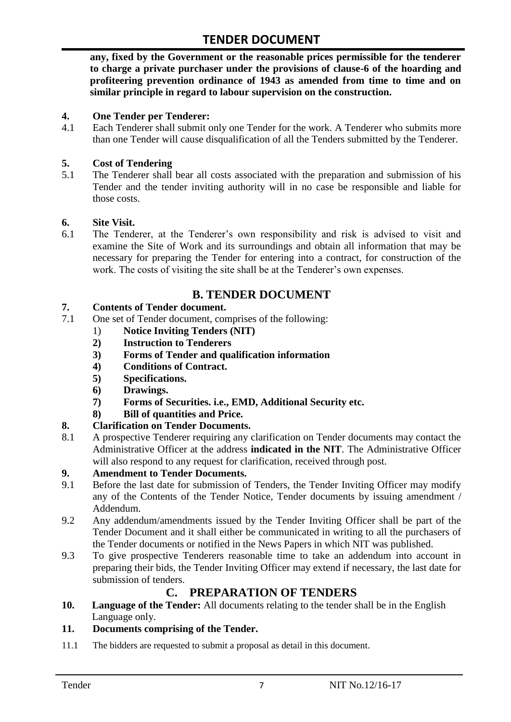**any, fixed by the Government or the reasonable prices permissible for the tenderer to charge a private purchaser under the provisions of clause-6 of the hoarding and profiteering prevention ordinance of 1943 as amended from time to time and on similar principle in regard to labour supervision on the construction.**

#### **4. One Tender per Tenderer:**

4.1 Each Tenderer shall submit only one Tender for the work. A Tenderer who submits more than one Tender will cause disqualification of all the Tenders submitted by the Tenderer.

#### **5. Cost of Tendering**

5.1 The Tenderer shall bear all costs associated with the preparation and submission of his Tender and the tender inviting authority will in no case be responsible and liable for those costs.

#### **6. Site Visit.**

6.1 The Tenderer, at the Tenderer"s own responsibility and risk is advised to visit and examine the Site of Work and its surroundings and obtain all information that may be necessary for preparing the Tender for entering into a contract, for construction of the work. The costs of visiting the site shall be at the Tenderer's own expenses.

# **B. TENDER DOCUMENT**

#### **7. Contents of Tender document.**

- 7.1 One set of Tender document, comprises of the following:
	- 1) **Notice Inviting Tenders (NIT)**
	- **2) Instruction to Tenderers**
	- **3) Forms of Tender and qualification information**
	- **4) Conditions of Contract.**
	- **5) Specifications.**
	- **6) Drawings.**
	- **7) Forms of Securities. i.e., EMD, Additional Security etc.**
	- **8) Bill of quantities and Price.**

#### **8. Clarification on Tender Documents.**

8.1 A prospective Tenderer requiring any clarification on Tender documents may contact the Administrative Officer at the address **indicated in the NIT**. The Administrative Officer will also respond to any request for clarification, received through post.

#### **9. Amendment to Tender Documents.**

- 9.1 Before the last date for submission of Tenders, the Tender Inviting Officer may modify any of the Contents of the Tender Notice, Tender documents by issuing amendment / Addendum.
- 9.2 Any addendum/amendments issued by the Tender Inviting Officer shall be part of the Tender Document and it shall either be communicated in writing to all the purchasers of the Tender documents or notified in the News Papers in which NIT was published.
- 9.3 To give prospective Tenderers reasonable time to take an addendum into account in preparing their bids, the Tender Inviting Officer may extend if necessary, the last date for submission of tenders.

### **C. PREPARATION OF TENDERS**

**10. Language of the Tender:** All documents relating to the tender shall be in the English Language only.

#### **11. Documents comprising of the Tender.**

11.1 The bidders are requested to submit a proposal as detail in this document.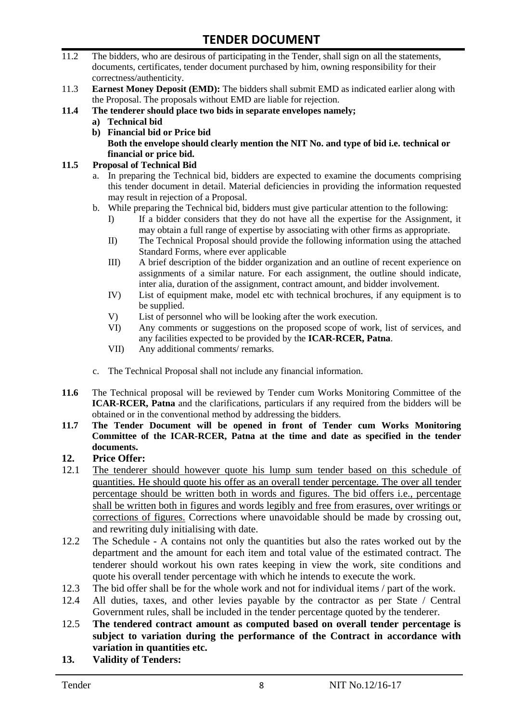- 11.2 The bidders, who are desirous of participating in the Tender, shall sign on all the statements, documents, certificates, tender document purchased by him, owning responsibility for their correctness/authenticity.
- 11.3 **Earnest Money Deposit (EMD):** The bidders shall submit EMD as indicated earlier along with the Proposal. The proposals without EMD are liable for rejection.
- **11.4 The tenderer should place two bids in separate envelopes namely;**
	- **a) Technical bid**
	- **b) Financial bid or Price bid Both the envelope should clearly mention the NIT No. and type of bid i.e. technical or financial or price bid.**

#### **11.5 Proposal of Technical Bid**

- a. In preparing the Technical bid, bidders are expected to examine the documents comprising this tender document in detail. Material deficiencies in providing the information requested may result in rejection of a Proposal.
- b. While preparing the Technical bid, bidders must give particular attention to the following:
	- I) If a bidder considers that they do not have all the expertise for the Assignment, it may obtain a full range of expertise by associating with other firms as appropriate.
	- II) The Technical Proposal should provide the following information using the attached Standard Forms, where ever applicable
	- III) A brief description of the bidder organization and an outline of recent experience on assignments of a similar nature. For each assignment, the outline should indicate, inter alia, duration of the assignment, contract amount, and bidder involvement.
	- IV) List of equipment make, model etc with technical brochures, if any equipment is to be supplied.
	- V) List of personnel who will be looking after the work execution.
	- VI) Any comments or suggestions on the proposed scope of work, list of services, and any facilities expected to be provided by the **ICAR-RCER, Patna**.
	- VII) Any additional comments/ remarks.
- c. The Technical Proposal shall not include any financial information.
- **11.6** The Technical proposal will be reviewed by Tender cum Works Monitoring Committee of the **ICAR-RCER, Patna** and the clarifications, particulars if any required from the bidders will be obtained or in the conventional method by addressing the bidders.
- **11.7 The Tender Document will be opened in front of Tender cum Works Monitoring Committee of the ICAR-RCER, Patna at the time and date as specified in the tender documents.**

#### **12. Price Offer:**

- 12.1 The tenderer should however quote his lump sum tender based on this schedule of quantities. He should quote his offer as an overall tender percentage. The over all tender percentage should be written both in words and figures. The bid offers i.e., percentage shall be written both in figures and words legibly and free from erasures, over writings or corrections of figures. Corrections where unavoidable should be made by crossing out, and rewriting duly initialising with date.
- 12.2 The Schedule A contains not only the quantities but also the rates worked out by the department and the amount for each item and total value of the estimated contract. The tenderer should workout his own rates keeping in view the work, site conditions and quote his overall tender percentage with which he intends to execute the work.
- 12.3 The bid offer shall be for the whole work and not for individual items / part of the work.
- 12.4 All duties, taxes, and other levies payable by the contractor as per State / Central Government rules, shall be included in the tender percentage quoted by the tenderer.
- 12.5 **The tendered contract amount as computed based on overall tender percentage is subject to variation during the performance of the Contract in accordance with variation in quantities etc.**
- **13. Validity of Tenders:**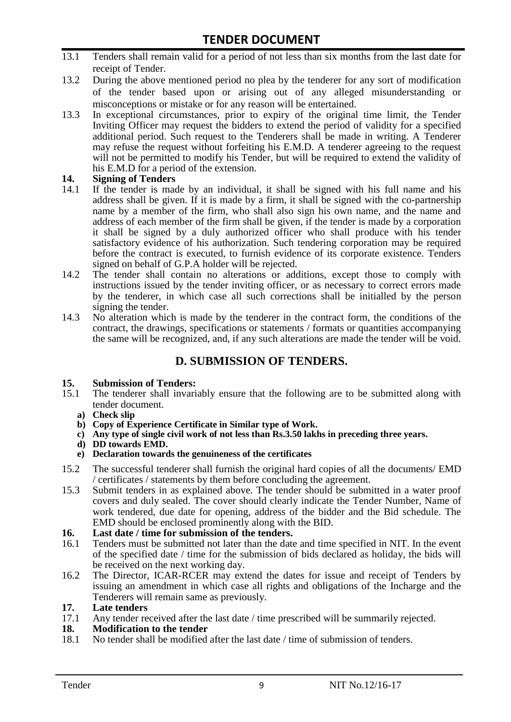- 13.1 Tenders shall remain valid for a period of not less than six months from the last date for receipt of Tender.
- 13.2 During the above mentioned period no plea by the tenderer for any sort of modification of the tender based upon or arising out of any alleged misunderstanding or misconceptions or mistake or for any reason will be entertained.
- 13.3 In exceptional circumstances, prior to expiry of the original time limit, the Tender Inviting Officer may request the bidders to extend the period of validity for a specified additional period. Such request to the Tenderers shall be made in writing. A Tenderer may refuse the request without forfeiting his E.M.D. A tenderer agreeing to the request will not be permitted to modify his Tender, but will be required to extend the validity of his E.M.D for a period of the extension.

# **14.** Signing of Tenders<br>14.1 If the tender is made

- If the tender is made by an individual, it shall be signed with his full name and his address shall be given. If it is made by a firm, it shall be signed with the co-partnership name by a member of the firm, who shall also sign his own name, and the name and address of each member of the firm shall be given, if the tender is made by a corporation it shall be signed by a duly authorized officer who shall produce with his tender satisfactory evidence of his authorization. Such tendering corporation may be required before the contract is executed, to furnish evidence of its corporate existence. Tenders signed on behalf of G.P.A holder will be rejected.
- 14.2 The tender shall contain no alterations or additions, except those to comply with instructions issued by the tender inviting officer, or as necessary to correct errors made by the tenderer, in which case all such corrections shall be initialled by the person signing the tender.
- 14.3 No alteration which is made by the tenderer in the contract form, the conditions of the contract, the drawings, specifications or statements / formats or quantities accompanying the same will be recognized, and, if any such alterations are made the tender will be void.

### **D. SUBMISSION OF TENDERS.**

#### **15. Submission of Tenders:**

- 15.1 The tenderer shall invariably ensure that the following are to be submitted along with tender document.
	- **a) Check slip**
	- **b) Copy of Experience Certificate in Similar type of Work.**
	- **c) Any type of single civil work of not less than Rs.3.50 lakhs in preceding three years.**
	- **d) DD towards EMD.**
	- **e) Declaration towards the genuineness of the certificates**
- 15.2 The successful tenderer shall furnish the original hard copies of all the documents/ EMD / certificates / statements by them before concluding the agreement.
- 15.3 Submit tenders in as explained above. The tender should be submitted in a water proof covers and duly sealed. The cover should clearly indicate the Tender Number, Name of work tendered, due date for opening, address of the bidder and the Bid schedule. The EMD should be enclosed prominently along with the BID.
- **16. Last date / time for submission of the tenders.**
- 16.1 Tenders must be submitted not later than the date and time specified in NIT. In the event of the specified date / time for the submission of bids declared as holiday, the bids will be received on the next working day.
- 16.2 The Director, ICAR-RCER may extend the dates for issue and receipt of Tenders by issuing an amendment in which case all rights and obligations of the Incharge and the Tenderers will remain same as previously.

#### **17. Late tenders**

17.1 Any tender received after the last date / time prescribed will be summarily rejected.

#### **18. Modification to the tender**

18.1 No tender shall be modified after the last date / time of submission of tenders.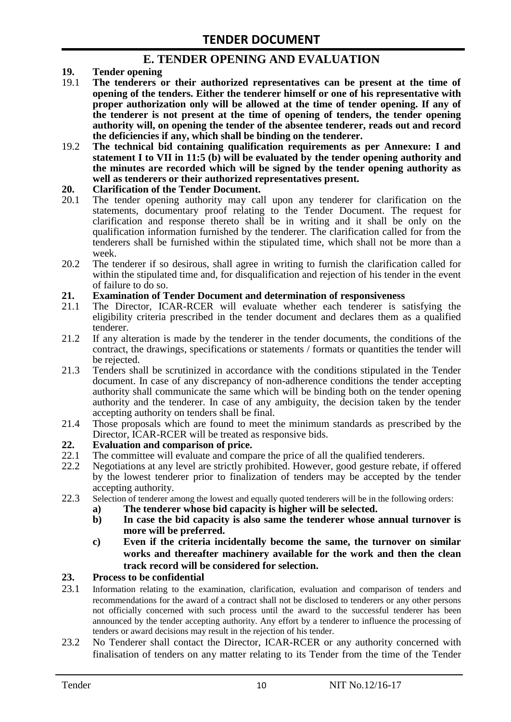### **E. TENDER OPENING AND EVALUATION**

- **19. Tender opening**
- 19.1 **The tenderers or their authorized representatives can be present at the time of opening of the tenders. Either the tenderer himself or one of his representative with proper authorization only will be allowed at the time of tender opening. If any of the tenderer is not present at the time of opening of tenders, the tender opening authority will, on opening the tender of the absentee tenderer, reads out and record the deficiencies if any, which shall be binding on the tenderer.**
- 19.2 **The technical bid containing qualification requirements as per Annexure: I and statement I to VII in 11:5 (b) will be evaluated by the tender opening authority and the minutes are recorded which will be signed by the tender opening authority as well as tenderers or their authorized representatives present.**

#### **20. Clarification of the Tender Document.**

- 20.1 The tender opening authority may call upon any tenderer for clarification on the statements, documentary proof relating to the Tender Document. The request for clarification and response thereto shall be in writing and it shall be only on the qualification information furnished by the tenderer. The clarification called for from the tenderers shall be furnished within the stipulated time, which shall not be more than a week.
- 20.2 The tenderer if so desirous, shall agree in writing to furnish the clarification called for within the stipulated time and, for disqualification and rejection of his tender in the event of failure to do so.

# **21. Examination of Tender Document and determination of responsiveness**

- 21.1 The Director, ICAR-RCER will evaluate whether each tenderer is satisfying the eligibility criteria prescribed in the tender document and declares them as a qualified tenderer.
- 21.2 If any alteration is made by the tenderer in the tender documents, the conditions of the contract, the drawings, specifications or statements / formats or quantities the tender will be rejected.
- 21.3 Tenders shall be scrutinized in accordance with the conditions stipulated in the Tender document. In case of any discrepancy of non-adherence conditions the tender accepting authority shall communicate the same which will be binding both on the tender opening authority and the tenderer. In case of any ambiguity, the decision taken by the tender accepting authority on tenders shall be final.
- 21.4 Those proposals which are found to meet the minimum standards as prescribed by the Director, ICAR-RCER will be treated as responsive bids.

# **22. Evaluation and comparison of price.**

- The committee will evaluate and compare the price of all the qualified tenderers.
- 22.2 Negotiations at any level are strictly prohibited. However, good gesture rebate, if offered by the lowest tenderer prior to finalization of tenders may be accepted by the tender accepting authority.
- 22.3 Selection of tenderer among the lowest and equally quoted tenderers will be in the following orders:
	- **a) The tenderer whose bid capacity is higher will be selected.**
	- **b) In case the bid capacity is also same the tenderer whose annual turnover is more will be preferred.**
	- **c) Even if the criteria incidentally become the same, the turnover on similar works and thereafter machinery available for the work and then the clean track record will be considered for selection.**

#### **23. Process to be confidential**

- 23.1 Information relating to the examination, clarification, evaluation and comparison of tenders and recommendations for the award of a contract shall not be disclosed to tenderers or any other persons not officially concerned with such process until the award to the successful tenderer has been announced by the tender accepting authority. Any effort by a tenderer to influence the processing of tenders or award decisions may result in the rejection of his tender.
- 23.2 No Tenderer shall contact the Director, ICAR-RCER or any authority concerned with finalisation of tenders on any matter relating to its Tender from the time of the Tender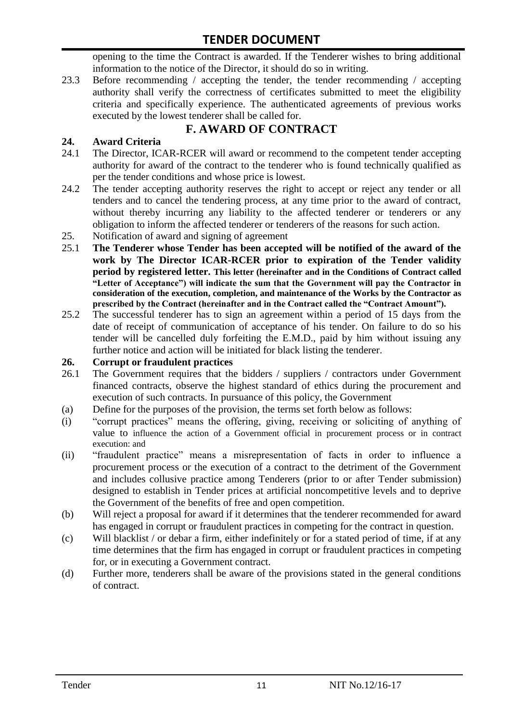opening to the time the Contract is awarded. If the Tenderer wishes to bring additional information to the notice of the Director, it should do so in writing.

23.3 Before recommending / accepting the tender, the tender recommending / accepting authority shall verify the correctness of certificates submitted to meet the eligibility criteria and specifically experience. The authenticated agreements of previous works executed by the lowest tenderer shall be called for.

# **F. AWARD OF CONTRACT**

#### **24. Award Criteria**

- 24.1 The Director, ICAR-RCER will award or recommend to the competent tender accepting authority for award of the contract to the tenderer who is found technically qualified as per the tender conditions and whose price is lowest.
- 24.2 The tender accepting authority reserves the right to accept or reject any tender or all tenders and to cancel the tendering process, at any time prior to the award of contract, without thereby incurring any liability to the affected tenderer or tenderers or any obligation to inform the affected tenderer or tenderers of the reasons for such action.
- 25. Notification of award and signing of agreement
- 25.1 **The Tenderer whose Tender has been accepted will be notified of the award of the work by The Director ICAR-RCER prior to expiration of the Tender validity period by registered letter. This letter (hereinafter and in the Conditions of Contract called "Letter of Acceptance") will indicate the sum that the Government will pay the Contractor in consideration of the execution, completion, and maintenance of the Works by the Contractor as prescribed by the Contract (hereinafter and in the Contract called the "Contract Amount").**
- 25.2 The successful tenderer has to sign an agreement within a period of 15 days from the date of receipt of communication of acceptance of his tender. On failure to do so his tender will be cancelled duly forfeiting the E.M.D., paid by him without issuing any further notice and action will be initiated for black listing the tenderer.

#### **26. Corrupt or fraudulent practices**

- 26.1 The Government requires that the bidders / suppliers / contractors under Government financed contracts, observe the highest standard of ethics during the procurement and execution of such contracts. In pursuance of this policy, the Government
- (a) Define for the purposes of the provision, the terms set forth below as follows:
- (i) "corrupt practices" means the offering, giving, receiving or soliciting of anything of value to influence the action of a Government official in procurement process or in contract execution: and
- (ii) "fraudulent practice" means a misrepresentation of facts in order to influence a procurement process or the execution of a contract to the detriment of the Government and includes collusive practice among Tenderers (prior to or after Tender submission) designed to establish in Tender prices at artificial noncompetitive levels and to deprive the Government of the benefits of free and open competition.
- (b) Will reject a proposal for award if it determines that the tenderer recommended for award has engaged in corrupt or fraudulent practices in competing for the contract in question.
- (c) Will blacklist / or debar a firm, either indefinitely or for a stated period of time, if at any time determines that the firm has engaged in corrupt or fraudulent practices in competing for, or in executing a Government contract.
- (d) Further more, tenderers shall be aware of the provisions stated in the general conditions of contract.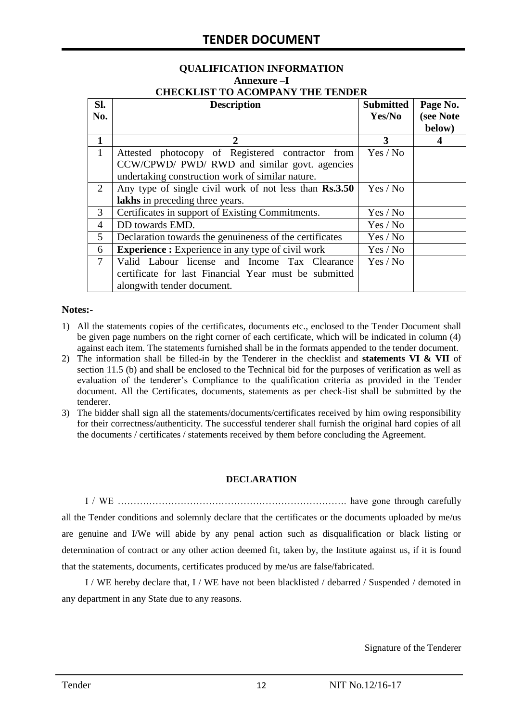# **QUALIFICATION INFORMATION Annexure –I**

|  | <b>CHECKLIST TO ACOMPANY THE TENDER</b> |  |
|--|-----------------------------------------|--|
|  |                                         |  |

| SI.            | <b>Description</b>                                       | <b>Submitted</b> | Page No.  |
|----------------|----------------------------------------------------------|------------------|-----------|
| No.            |                                                          | Yes/No           | (see Note |
|                |                                                          |                  | below)    |
| $\mathbf{1}$   | 2                                                        | 3                | 4         |
| 1              | Attested photocopy of Registered contractor from         | Yes / No         |           |
|                | CCW/CPWD/ PWD/ RWD and similar govt. agencies            |                  |           |
|                | undertaking construction work of similar nature.         |                  |           |
| $\overline{2}$ | Any type of single civil work of not less than Rs.3.50   | Yes / No         |           |
|                | lakhs in preceding three years.                          |                  |           |
| 3              | Certificates in support of Existing Commitments.         | Yes / No         |           |
| 4              | DD towards EMD.                                          | Yes / No         |           |
| 5              | Declaration towards the genuineness of the certificates  | Yes / No         |           |
| 6              | <b>Experience :</b> Experience in any type of civil work | Yes / No         |           |
| $\tau$         | Valid Labour license and Income Tax Clearance            | Yes / No         |           |
|                | certificate for last Financial Year must be submitted    |                  |           |
|                | alongwith tender document.                               |                  |           |

#### **Notes:-**

- 1) All the statements copies of the certificates, documents etc., enclosed to the Tender Document shall be given page numbers on the right corner of each certificate, which will be indicated in column (4) against each item. The statements furnished shall be in the formats appended to the tender document.
- 2) The information shall be filled-in by the Tenderer in the checklist and **statements VI & VII** of section 11.5 (b) and shall be enclosed to the Technical bid for the purposes of verification as well as evaluation of the tenderer"s Compliance to the qualification criteria as provided in the Tender document. All the Certificates, documents, statements as per check-list shall be submitted by the tenderer.
- 3) The bidder shall sign all the statements/documents/certificates received by him owing responsibility for their correctness/authenticity. The successful tenderer shall furnish the original hard copies of all the documents / certificates / statements received by them before concluding the Agreement.

#### **DECLARATION**

I / WE ………………………………………………………………. have gone through carefully all the Tender conditions and solemnly declare that the certificates or the documents uploaded by me/us are genuine and I/We will abide by any penal action such as disqualification or black listing or determination of contract or any other action deemed fit, taken by, the Institute against us, if it is found that the statements, documents, certificates produced by me/us are false/fabricated.

I / WE hereby declare that, I / WE have not been blacklisted / debarred / Suspended / demoted in any department in any State due to any reasons.

Signature of the Tenderer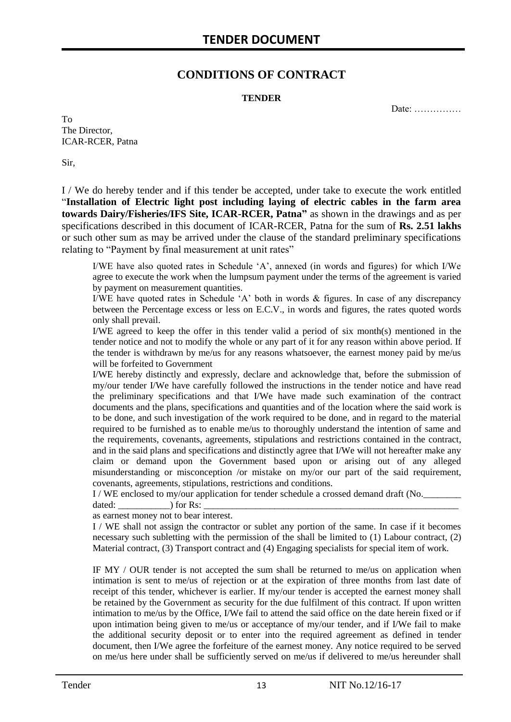### **CONDITIONS OF CONTRACT**

#### **TENDER**

Date: ……………

To The Director, ICAR-RCER, Patna

Sir,

I / We do hereby tender and if this tender be accepted, under take to execute the work entitled "**Installation of Electric light post including laying of electric cables in the farm area towards Dairy/Fisheries/IFS Site, ICAR-RCER, Patna"** as shown in the drawings and as per specifications described in this document of ICAR-RCER, Patna for the sum of **Rs. 2.51 lakhs** or such other sum as may be arrived under the clause of the standard preliminary specifications relating to "Payment by final measurement at unit rates"

I/WE have also quoted rates in Schedule "A", annexed (in words and figures) for which I/We agree to execute the work when the lumpsum payment under the terms of the agreement is varied by payment on measurement quantities.

I/WE have quoted rates in Schedule "A" both in words & figures. In case of any discrepancy between the Percentage excess or less on E.C.V., in words and figures, the rates quoted words only shall prevail.

I/WE agreed to keep the offer in this tender valid a period of six month(s) mentioned in the tender notice and not to modify the whole or any part of it for any reason within above period. If the tender is withdrawn by me/us for any reasons whatsoever, the earnest money paid by me/us will be forfeited to Government

I/WE hereby distinctly and expressly, declare and acknowledge that, before the submission of my/our tender I/We have carefully followed the instructions in the tender notice and have read the preliminary specifications and that I/We have made such examination of the contract documents and the plans, specifications and quantities and of the location where the said work is to be done, and such investigation of the work required to be done, and in regard to the material required to be furnished as to enable me/us to thoroughly understand the intention of same and the requirements, covenants, agreements, stipulations and restrictions contained in the contract, and in the said plans and specifications and distinctly agree that I/We will not hereafter make any claim or demand upon the Government based upon or arising out of any alleged misunderstanding or misconception /or mistake on my/or our part of the said requirement, covenants, agreements, stipulations, restrictions and conditions.

I / WE enclosed to my/our application for tender schedule a crossed demand draft (No.

dated:  $\qquad \qquad$  ) for Rs: as earnest money not to bear interest.

I / WE shall not assign the contractor or sublet any portion of the same. In case if it becomes necessary such subletting with the permission of the shall be limited to (1) Labour contract, (2) Material contract, (3) Transport contract and (4) Engaging specialists for special item of work.

IF MY / OUR tender is not accepted the sum shall be returned to me/us on application when intimation is sent to me/us of rejection or at the expiration of three months from last date of receipt of this tender, whichever is earlier. If my/our tender is accepted the earnest money shall be retained by the Government as security for the due fulfilment of this contract. If upon written intimation to me/us by the Office, I/We fail to attend the said office on the date herein fixed or if upon intimation being given to me/us or acceptance of my/our tender, and if I/We fail to make the additional security deposit or to enter into the required agreement as defined in tender document, then I/We agree the forfeiture of the earnest money. Any notice required to be served on me/us here under shall be sufficiently served on me/us if delivered to me/us hereunder shall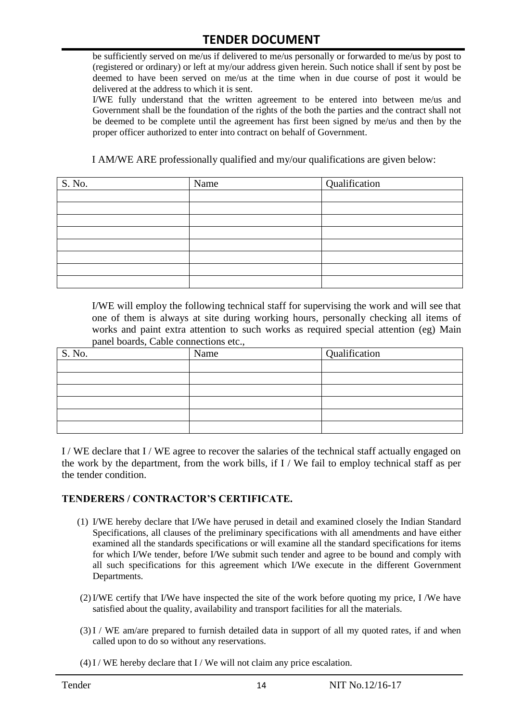be sufficiently served on me/us if delivered to me/us personally or forwarded to me/us by post to (registered or ordinary) or left at my/our address given herein. Such notice shall if sent by post be deemed to have been served on me/us at the time when in due course of post it would be delivered at the address to which it is sent.

I/WE fully understand that the written agreement to be entered into between me/us and Government shall be the foundation of the rights of the both the parties and the contract shall not be deemed to be complete until the agreement has first been signed by me/us and then by the proper officer authorized to enter into contract on behalf of Government.

I AM/WE ARE professionally qualified and my/our qualifications are given below:

| S. No. | Name | Qualification |
|--------|------|---------------|
|        |      |               |
|        |      |               |
|        |      |               |
|        |      |               |
|        |      |               |
|        |      |               |
|        |      |               |
|        |      |               |

I/WE will employ the following technical staff for supervising the work and will see that one of them is always at site during working hours, personally checking all items of works and paint extra attention to such works as required special attention (eg) Main panel boards, Cable connections etc.,

| S. No. | Name | Qualification |
|--------|------|---------------|
|        |      |               |
|        |      |               |
|        |      |               |
|        |      |               |
|        |      |               |
|        |      |               |

I / WE declare that I / WE agree to recover the salaries of the technical staff actually engaged on the work by the department, from the work bills, if I / We fail to employ technical staff as per the tender condition.

#### **TENDERERS / CONTRACTOR'S CERTIFICATE.**

- (1) I/WE hereby declare that I/We have perused in detail and examined closely the Indian Standard Specifications, all clauses of the preliminary specifications with all amendments and have either examined all the standards specifications or will examine all the standard specifications for items for which I/We tender, before I/We submit such tender and agree to be bound and comply with all such specifications for this agreement which I/We execute in the different Government Departments.
- (2)I/WE certify that I/We have inspected the site of the work before quoting my price, I /We have satisfied about the quality, availability and transport facilities for all the materials.
- (3)I / WE am/are prepared to furnish detailed data in support of all my quoted rates, if and when called upon to do so without any reservations.
- $(4)$  I / WE hereby declare that I / We will not claim any price escalation.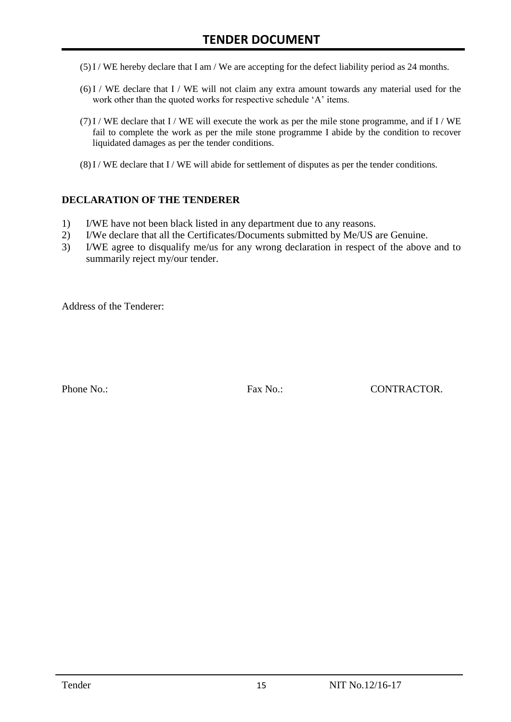- (5)I / WE hereby declare that I am / We are accepting for the defect liability period as 24 months.
- (6)I / WE declare that I / WE will not claim any extra amount towards any material used for the work other than the quoted works for respective schedule 'A' items.
- $(7)$ I / WE declare that I / WE will execute the work as per the mile stone programme, and if I / WE fail to complete the work as per the mile stone programme I abide by the condition to recover liquidated damages as per the tender conditions.
- $(8)$  I / WE declare that I / WE will abide for settlement of disputes as per the tender conditions.

#### **DECLARATION OF THE TENDERER**

- 1) I/WE have not been black listed in any department due to any reasons.
- 2) I/We declare that all the Certificates/Documents submitted by Me/US are Genuine.
- 3) I/WE agree to disqualify me/us for any wrong declaration in respect of the above and to summarily reject my/our tender.

Address of the Tenderer:

Phone No.: Fax No.: CONTRACTOR.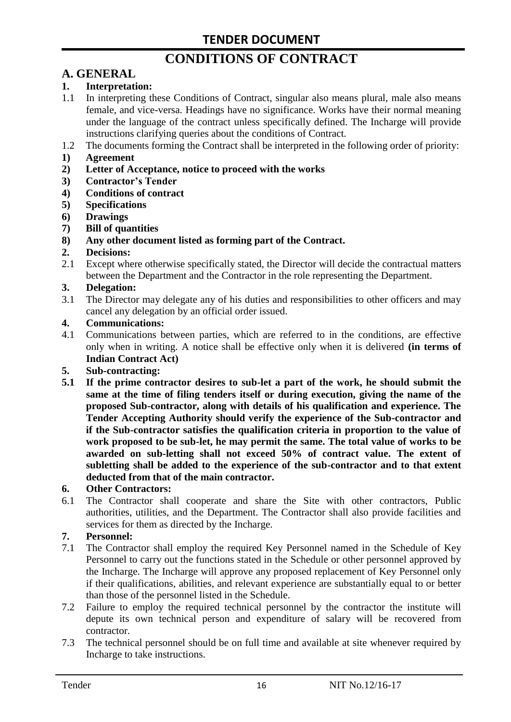# **CONDITIONS OF CONTRACT**

# **A. GENERAL**

#### **1. Interpretation:**

- 1.1 In interpreting these Conditions of Contract, singular also means plural, male also means female, and vice-versa. Headings have no significance. Works have their normal meaning under the language of the contract unless specifically defined. The Incharge will provide instructions clarifying queries about the conditions of Contract.
- 1.2 The documents forming the Contract shall be interpreted in the following order of priority:
- **1) Agreement**
- **2) Letter of Acceptance, notice to proceed with the works**
- **3) Contractor's Tender**
- **4) Conditions of contract**
- **5) Specifications**
- **6) Drawings**
- **7) Bill of quantities**
- **8) Any other document listed as forming part of the Contract.**

#### **2. Decisions:**

2.1 Except where otherwise specifically stated, the Director will decide the contractual matters between the Department and the Contractor in the role representing the Department.

#### **3. Delegation:**

3.1 The Director may delegate any of his duties and responsibilities to other officers and may cancel any delegation by an official order issued.

#### **4. Communications:**

4.1 Communications between parties, which are referred to in the conditions, are effective only when in writing. A notice shall be effective only when it is delivered **(in terms of Indian Contract Act)**

#### **5. Sub-contracting:**

**5.1 If the prime contractor desires to sub-let a part of the work, he should submit the same at the time of filing tenders itself or during execution, giving the name of the proposed Sub-contractor, along with details of his qualification and experience. The Tender Accepting Authority should verify the experience of the Sub-contractor and if the Sub-contractor satisfies the qualification criteria in proportion to the value of work proposed to be sub-let, he may permit the same. The total value of works to be awarded on sub-letting shall not exceed 50% of contract value. The extent of subletting shall be added to the experience of the sub-contractor and to that extent deducted from that of the main contractor.**

#### **6. Other Contractors:**

6.1 The Contractor shall cooperate and share the Site with other contractors, Public authorities, utilities, and the Department. The Contractor shall also provide facilities and services for them as directed by the Incharge.

#### **7. Personnel:**

- 7.1 The Contractor shall employ the required Key Personnel named in the Schedule of Key Personnel to carry out the functions stated in the Schedule or other personnel approved by the Incharge. The Incharge will approve any proposed replacement of Key Personnel only if their qualifications, abilities, and relevant experience are substantially equal to or better than those of the personnel listed in the Schedule.
- 7.2 Failure to employ the required technical personnel by the contractor the institute will depute its own technical person and expenditure of salary will be recovered from contractor.
- 7.3 The technical personnel should be on full time and available at site whenever required by Incharge to take instructions.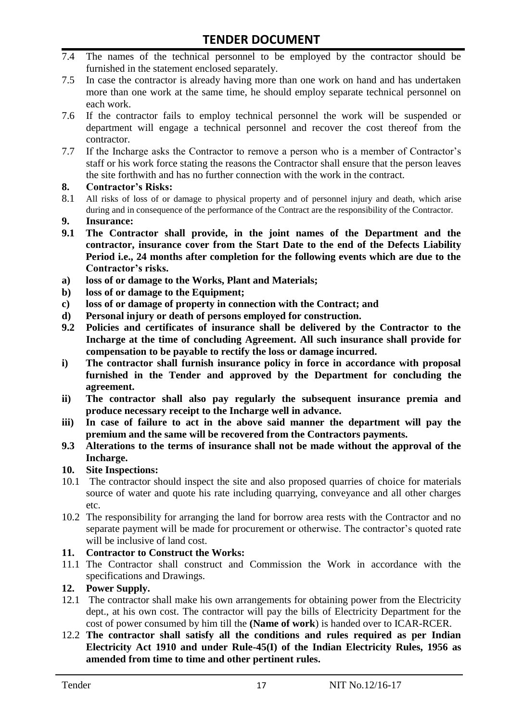- 7.4 The names of the technical personnel to be employed by the contractor should be furnished in the statement enclosed separately.
- 7.5 In case the contractor is already having more than one work on hand and has undertaken more than one work at the same time, he should employ separate technical personnel on each work.
- 7.6 If the contractor fails to employ technical personnel the work will be suspended or department will engage a technical personnel and recover the cost thereof from the contractor.
- 7.7 If the Incharge asks the Contractor to remove a person who is a member of Contractor"s staff or his work force stating the reasons the Contractor shall ensure that the person leaves the site forthwith and has no further connection with the work in the contract.

#### **8. Contractor's Risks:**

- 8.1 All risks of loss of or damage to physical property and of personnel injury and death, which arise during and in consequence of the performance of the Contract are the responsibility of the Contractor.
- **9. Insurance:**
- **9.1 The Contractor shall provide, in the joint names of the Department and the contractor, insurance cover from the Start Date to the end of the Defects Liability Period i.e., 24 months after completion for the following events which are due to the Contractor's risks.**
- **a) loss of or damage to the Works, Plant and Materials;**
- **b) loss of or damage to the Equipment;**
- **c) loss of or damage of property in connection with the Contract; and**
- **d) Personal injury or death of persons employed for construction.**
- **9.2 Policies and certificates of insurance shall be delivered by the Contractor to the Incharge at the time of concluding Agreement. All such insurance shall provide for compensation to be payable to rectify the loss or damage incurred.**
- **i) The contractor shall furnish insurance policy in force in accordance with proposal furnished in the Tender and approved by the Department for concluding the agreement.**
- **ii) The contractor shall also pay regularly the subsequent insurance premia and produce necessary receipt to the Incharge well in advance.**
- **iii) In case of failure to act in the above said manner the department will pay the premium and the same will be recovered from the Contractors payments.**
- **9.3 Alterations to the terms of insurance shall not be made without the approval of the Incharge.**

#### **10. Site Inspections:**

- 10.1 The contractor should inspect the site and also proposed quarries of choice for materials source of water and quote his rate including quarrying, conveyance and all other charges etc.
- 10.2 The responsibility for arranging the land for borrow area rests with the Contractor and no separate payment will be made for procurement or otherwise. The contractor's quoted rate will be inclusive of land cost.

#### **11. Contractor to Construct the Works:**

11.1 The Contractor shall construct and Commission the Work in accordance with the specifications and Drawings.

#### **12. Power Supply.**

- 12.1 The contractor shall make his own arrangements for obtaining power from the Electricity dept., at his own cost. The contractor will pay the bills of Electricity Department for the cost of power consumed by him till the **(Name of work**) is handed over to ICAR-RCER.
- 12.2 **The contractor shall satisfy all the conditions and rules required as per Indian Electricity Act 1910 and under Rule-45(I) of the Indian Electricity Rules, 1956 as amended from time to time and other pertinent rules.**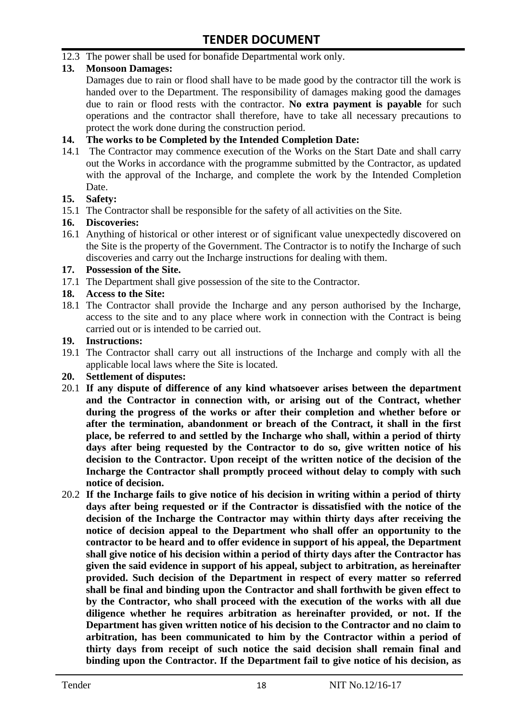12.3 The power shall be used for bonafide Departmental work only.

#### **13. Monsoon Damages:**

Damages due to rain or flood shall have to be made good by the contractor till the work is handed over to the Department. The responsibility of damages making good the damages due to rain or flood rests with the contractor. **No extra payment is payable** for such operations and the contractor shall therefore, have to take all necessary precautions to protect the work done during the construction period.

#### **14. The works to be Completed by the Intended Completion Date:**

14.1 The Contractor may commence execution of the Works on the Start Date and shall carry out the Works in accordance with the programme submitted by the Contractor, as updated with the approval of the Incharge, and complete the work by the Intended Completion Date.

#### **15. Safety:**

15.1 The Contractor shall be responsible for the safety of all activities on the Site.

#### **16. Discoveries:**

16.1 Anything of historical or other interest or of significant value unexpectedly discovered on the Site is the property of the Government. The Contractor is to notify the Incharge of such discoveries and carry out the Incharge instructions for dealing with them.

#### **17. Possession of the Site.**

17.1 The Department shall give possession of the site to the Contractor.

#### **18. Access to the Site:**

18.1 The Contractor shall provide the Incharge and any person authorised by the Incharge, access to the site and to any place where work in connection with the Contract is being carried out or is intended to be carried out.

#### **19. Instructions:**

- 19.1 The Contractor shall carry out all instructions of the Incharge and comply with all the applicable local laws where the Site is located.
- **20. Settlement of disputes:**
- 20.1 **If any dispute of difference of any kind whatsoever arises between the department and the Contractor in connection with, or arising out of the Contract, whether during the progress of the works or after their completion and whether before or after the termination, abandonment or breach of the Contract, it shall in the first place, be referred to and settled by the Incharge who shall, within a period of thirty days after being requested by the Contractor to do so, give written notice of his decision to the Contractor. Upon receipt of the written notice of the decision of the Incharge the Contractor shall promptly proceed without delay to comply with such notice of decision.**
- 20.2 **If the Incharge fails to give notice of his decision in writing within a period of thirty days after being requested or if the Contractor is dissatisfied with the notice of the decision of the Incharge the Contractor may within thirty days after receiving the notice of decision appeal to the Department who shall offer an opportunity to the contractor to be heard and to offer evidence in support of his appeal, the Department shall give notice of his decision within a period of thirty days after the Contractor has given the said evidence in support of his appeal, subject to arbitration, as hereinafter provided. Such decision of the Department in respect of every matter so referred shall be final and binding upon the Contractor and shall forthwith be given effect to by the Contractor, who shall proceed with the execution of the works with all due diligence whether he requires arbitration as hereinafter provided, or not. If the Department has given written notice of his decision to the Contractor and no claim to arbitration, has been communicated to him by the Contractor within a period of thirty days from receipt of such notice the said decision shall remain final and binding upon the Contractor. If the Department fail to give notice of his decision, as**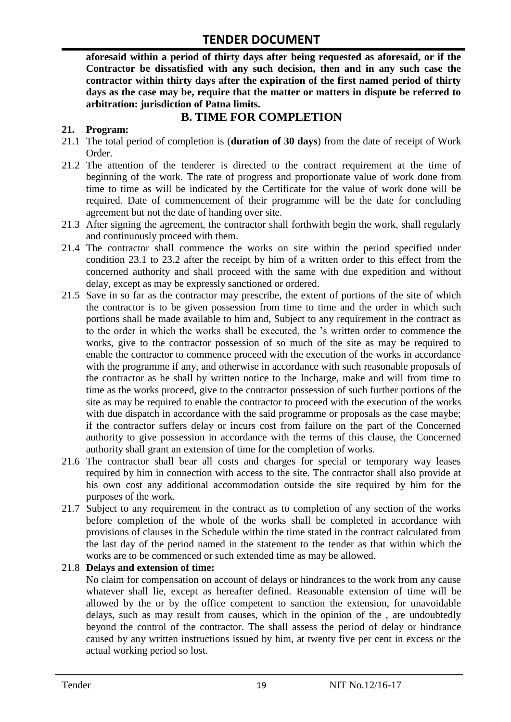**aforesaid within a period of thirty days after being requested as aforesaid, or if the Contractor be dissatisfied with any such decision, then and in any such case the contractor within thirty days after the expiration of the first named period of thirty days as the case may be, require that the matter or matters in dispute be referred to arbitration: jurisdiction of Patna limits.**

### **B. TIME FOR COMPLETION**

#### **21. Program:**

- 21.1 The total period of completion is (**duration of 30 days**) from the date of receipt of Work Order.
- 21.2 The attention of the tenderer is directed to the contract requirement at the time of beginning of the work. The rate of progress and proportionate value of work done from time to time as will be indicated by the Certificate for the value of work done will be required. Date of commencement of their programme will be the date for concluding agreement but not the date of handing over site.
- 21.3 After signing the agreement, the contractor shall forthwith begin the work, shall regularly and continuously proceed with them.
- 21.4 The contractor shall commence the works on site within the period specified under condition 23.1 to 23.2 after the receipt by him of a written order to this effect from the concerned authority and shall proceed with the same with due expedition and without delay, except as may be expressly sanctioned or ordered.
- 21.5 Save in so far as the contractor may prescribe, the extent of portions of the site of which the contractor is to be given possession from time to time and the order in which such portions shall be made available to him and, Subject to any requirement in the contract as to the order in which the works shall be executed, the "s written order to commence the works, give to the contractor possession of so much of the site as may be required to enable the contractor to commence proceed with the execution of the works in accordance with the programme if any, and otherwise in accordance with such reasonable proposals of the contractor as he shall by written notice to the Incharge, make and will from time to time as the works proceed, give to the contractor possession of such further portions of the site as may be required to enable the contractor to proceed with the execution of the works with due dispatch in accordance with the said programme or proposals as the case maybe; if the contractor suffers delay or incurs cost from failure on the part of the Concerned authority to give possession in accordance with the terms of this clause, the Concerned authority shall grant an extension of time for the completion of works.
- 21.6 The contractor shall bear all costs and charges for special or temporary way leases required by him in connection with access to the site. The contractor shall also provide at his own cost any additional accommodation outside the site required by him for the purposes of the work.
- 21.7 Subject to any requirement in the contract as to completion of any section of the works before completion of the whole of the works shall be completed in accordance with provisions of clauses in the Schedule within the time stated in the contract calculated from the last day of the period named in the statement to the tender as that within which the works are to be commenced or such extended time as may be allowed.

#### 21.8 **Delays and extension of time:**

No claim for compensation on account of delays or hindrances to the work from any cause whatever shall lie, except as hereafter defined. Reasonable extension of time will be allowed by the or by the office competent to sanction the extension, for unavoidable delays, such as may result from causes, which in the opinion of the , are undoubtedly beyond the control of the contractor. The shall assess the period of delay or hindrance caused by any written instructions issued by him, at twenty five per cent in excess or the actual working period so lost.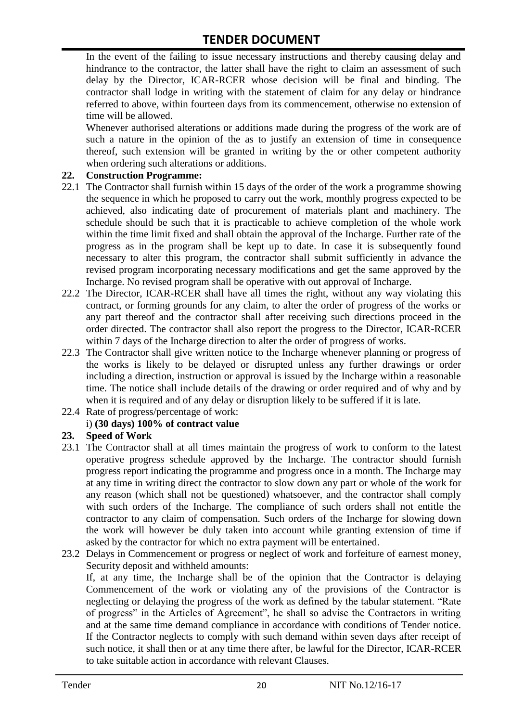In the event of the failing to issue necessary instructions and thereby causing delay and hindrance to the contractor, the latter shall have the right to claim an assessment of such delay by the Director, ICAR-RCER whose decision will be final and binding. The contractor shall lodge in writing with the statement of claim for any delay or hindrance referred to above, within fourteen days from its commencement, otherwise no extension of time will be allowed.

Whenever authorised alterations or additions made during the progress of the work are of such a nature in the opinion of the as to justify an extension of time in consequence thereof, such extension will be granted in writing by the or other competent authority when ordering such alterations or additions.

#### **22. Construction Programme:**

- 22.1 The Contractor shall furnish within 15 days of the order of the work a programme showing the sequence in which he proposed to carry out the work, monthly progress expected to be achieved, also indicating date of procurement of materials plant and machinery. The schedule should be such that it is practicable to achieve completion of the whole work within the time limit fixed and shall obtain the approval of the Incharge. Further rate of the progress as in the program shall be kept up to date. In case it is subsequently found necessary to alter this program, the contractor shall submit sufficiently in advance the revised program incorporating necessary modifications and get the same approved by the Incharge. No revised program shall be operative with out approval of Incharge.
- 22.2 The Director, ICAR-RCER shall have all times the right, without any way violating this contract, or forming grounds for any claim, to alter the order of progress of the works or any part thereof and the contractor shall after receiving such directions proceed in the order directed. The contractor shall also report the progress to the Director, ICAR-RCER within 7 days of the Incharge direction to alter the order of progress of works.
- 22.3 The Contractor shall give written notice to the Incharge whenever planning or progress of the works is likely to be delayed or disrupted unless any further drawings or order including a direction, instruction or approval is issued by the Incharge within a reasonable time. The notice shall include details of the drawing or order required and of why and by when it is required and of any delay or disruption likely to be suffered if it is late.
- 22.4 Rate of progress/percentage of work:

#### i) **(30 days) 100% of contract value**

#### **23. Speed of Work**

- 23.1 The Contractor shall at all times maintain the progress of work to conform to the latest operative progress schedule approved by the Incharge. The contractor should furnish progress report indicating the programme and progress once in a month. The Incharge may at any time in writing direct the contractor to slow down any part or whole of the work for any reason (which shall not be questioned) whatsoever, and the contractor shall comply with such orders of the Incharge. The compliance of such orders shall not entitle the contractor to any claim of compensation. Such orders of the Incharge for slowing down the work will however be duly taken into account while granting extension of time if asked by the contractor for which no extra payment will be entertained.
- 23.2 Delays in Commencement or progress or neglect of work and forfeiture of earnest money, Security deposit and withheld amounts:

If, at any time, the Incharge shall be of the opinion that the Contractor is delaying Commencement of the work or violating any of the provisions of the Contractor is neglecting or delaying the progress of the work as defined by the tabular statement. "Rate of progress" in the Articles of Agreement", he shall so advise the Contractors in writing and at the same time demand compliance in accordance with conditions of Tender notice. If the Contractor neglects to comply with such demand within seven days after receipt of such notice, it shall then or at any time there after, be lawful for the Director, ICAR-RCER to take suitable action in accordance with relevant Clauses.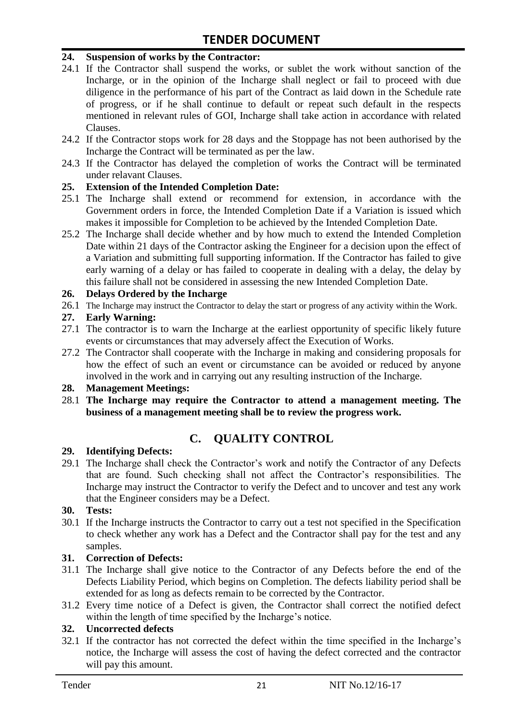#### **24. Suspension of works by the Contractor:**

- 24.1 If the Contractor shall suspend the works, or sublet the work without sanction of the Incharge, or in the opinion of the Incharge shall neglect or fail to proceed with due diligence in the performance of his part of the Contract as laid down in the Schedule rate of progress, or if he shall continue to default or repeat such default in the respects mentioned in relevant rules of GOI, Incharge shall take action in accordance with related Clauses.
- 24.2 If the Contractor stops work for 28 days and the Stoppage has not been authorised by the Incharge the Contract will be terminated as per the law.
- 24.3 If the Contractor has delayed the completion of works the Contract will be terminated under relavant Clauses.

#### **25. Extension of the Intended Completion Date:**

- 25.1 The Incharge shall extend or recommend for extension, in accordance with the Government orders in force, the Intended Completion Date if a Variation is issued which makes it impossible for Completion to be achieved by the Intended Completion Date.
- 25.2 The Incharge shall decide whether and by how much to extend the Intended Completion Date within 21 days of the Contractor asking the Engineer for a decision upon the effect of a Variation and submitting full supporting information. If the Contractor has failed to give early warning of a delay or has failed to cooperate in dealing with a delay, the delay by this failure shall not be considered in assessing the new Intended Completion Date.

#### **26. Delays Ordered by the Incharge**

26.1 The Incharge may instruct the Contractor to delay the start or progress of any activity within the Work.

#### **27. Early Warning:**

- 27.1 The contractor is to warn the Incharge at the earliest opportunity of specific likely future events or circumstances that may adversely affect the Execution of Works.
- 27.2 The Contractor shall cooperate with the Incharge in making and considering proposals for how the effect of such an event or circumstance can be avoided or reduced by anyone involved in the work and in carrying out any resulting instruction of the Incharge.

#### **28. Management Meetings:**

28.1 **The Incharge may require the Contractor to attend a management meeting. The business of a management meeting shall be to review the progress work.**

### **C. QUALITY CONTROL**

#### **29. Identifying Defects:**

29.1 The Incharge shall check the Contractor's work and notify the Contractor of any Defects that are found. Such checking shall not affect the Contractor"s responsibilities. The Incharge may instruct the Contractor to verify the Defect and to uncover and test any work that the Engineer considers may be a Defect.

#### **30. Tests:**

30.1 If the Incharge instructs the Contractor to carry out a test not specified in the Specification to check whether any work has a Defect and the Contractor shall pay for the test and any samples.

#### **31. Correction of Defects:**

- 31.1 The Incharge shall give notice to the Contractor of any Defects before the end of the Defects Liability Period, which begins on Completion. The defects liability period shall be extended for as long as defects remain to be corrected by the Contractor.
- 31.2 Every time notice of a Defect is given, the Contractor shall correct the notified defect within the length of time specified by the Incharge's notice.

#### **32. Uncorrected defects**

32.1 If the contractor has not corrected the defect within the time specified in the Incharge"s notice, the Incharge will assess the cost of having the defect corrected and the contractor will pay this amount.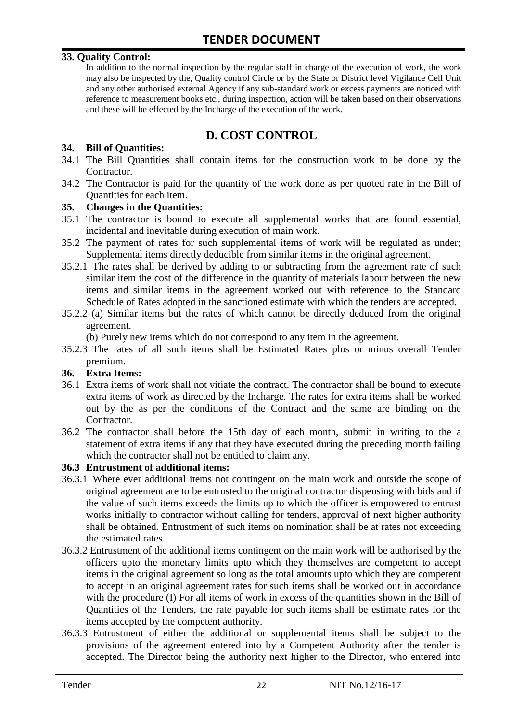#### **33. Quality Control:**

In addition to the normal inspection by the regular staff in charge of the execution of work, the work may also be inspected by the, Quality control Circle or by the State or District level Vigilance Cell Unit and any other authorised external Agency if any sub-standard work or excess payments are noticed with reference to measurement books etc., during inspection, action will be taken based on their observations and these will be effected by the Incharge of the execution of the work.

# **D. COST CONTROL**

#### **34. Bill of Quantities:**

- 34.1 The Bill Quantities shall contain items for the construction work to be done by the Contractor.
- 34.2 The Contractor is paid for the quantity of the work done as per quoted rate in the Bill of Quantities for each item.

#### **35. Changes in the Quantities:**

- 35.1 The contractor is bound to execute all supplemental works that are found essential, incidental and inevitable during execution of main work.
- 35.2 The payment of rates for such supplemental items of work will be regulated as under; Supplemental items directly deducible from similar items in the original agreement.
- 35.2.1 The rates shall be derived by adding to or subtracting from the agreement rate of such similar item the cost of the difference in the quantity of materials labour between the new items and similar items in the agreement worked out with reference to the Standard Schedule of Rates adopted in the sanctioned estimate with which the tenders are accepted.
- 35.2.2 (a) Similar items but the rates of which cannot be directly deduced from the original agreement.

(b) Purely new items which do not correspond to any item in the agreement.

35.2.3 The rates of all such items shall be Estimated Rates plus or minus overall Tender premium.

#### **36. Extra Items:**

- 36.1 Extra items of work shall not vitiate the contract. The contractor shall be bound to execute extra items of work as directed by the Incharge. The rates for extra items shall be worked out by the as per the conditions of the Contract and the same are binding on the Contractor.
- 36.2 The contractor shall before the 15th day of each month, submit in writing to the a statement of extra items if any that they have executed during the preceding month failing which the contractor shall not be entitled to claim any.

#### **36.3 Entrustment of additional items:**

- 36.3.1 Where ever additional items not contingent on the main work and outside the scope of original agreement are to be entrusted to the original contractor dispensing with bids and if the value of such items exceeds the limits up to which the officer is empowered to entrust works initially to contractor without calling for tenders, approval of next higher authority shall be obtained. Entrustment of such items on nomination shall be at rates not exceeding the estimated rates.
- 36.3.2 Entrustment of the additional items contingent on the main work will be authorised by the officers upto the monetary limits upto which they themselves are competent to accept items in the original agreement so long as the total amounts upto which they are competent to accept in an original agreement rates for such items shall be worked out in accordance with the procedure (I) For all items of work in excess of the quantities shown in the Bill of Quantities of the Tenders, the rate payable for such items shall be estimate rates for the items accepted by the competent authority.
- 36.3.3 Entrustment of either the additional or supplemental items shall be subject to the provisions of the agreement entered into by a Competent Authority after the tender is accepted. The Director being the authority next higher to the Director, who entered into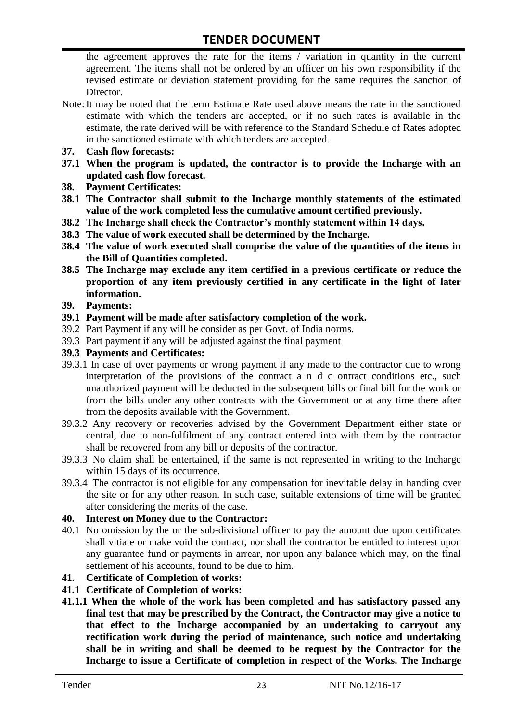the agreement approves the rate for the items / variation in quantity in the current agreement. The items shall not be ordered by an officer on his own responsibility if the revised estimate or deviation statement providing for the same requires the sanction of Director.

- Note:It may be noted that the term Estimate Rate used above means the rate in the sanctioned estimate with which the tenders are accepted, or if no such rates is available in the estimate, the rate derived will be with reference to the Standard Schedule of Rates adopted in the sanctioned estimate with which tenders are accepted.
- **37. Cash flow forecasts:**
- **37.1 When the program is updated, the contractor is to provide the Incharge with an updated cash flow forecast.**
- **38. Payment Certificates:**
- **38.1 The Contractor shall submit to the Incharge monthly statements of the estimated value of the work completed less the cumulative amount certified previously.**
- **38.2 The Incharge shall check the Contractor's monthly statement within 14 days.**
- **38.3 The value of work executed shall be determined by the Incharge.**
- **38.4 The value of work executed shall comprise the value of the quantities of the items in the Bill of Quantities completed.**
- **38.5 The Incharge may exclude any item certified in a previous certificate or reduce the proportion of any item previously certified in any certificate in the light of later information.**
- **39. Payments:**
- **39.1 Payment will be made after satisfactory completion of the work.**
- 39.2 Part Payment if any will be consider as per Govt. of India norms.
- 39.3 Part payment if any will be adjusted against the final payment
- **39.3 Payments and Certificates:**
- 39.3.1 In case of over payments or wrong payment if any made to the contractor due to wrong interpretation of the provisions of the contract a n d c ontract conditions etc., such unauthorized payment will be deducted in the subsequent bills or final bill for the work or from the bills under any other contracts with the Government or at any time there after from the deposits available with the Government.
- 39.3.2 Any recovery or recoveries advised by the Government Department either state or central, due to non-fulfilment of any contract entered into with them by the contractor shall be recovered from any bill or deposits of the contractor.
- 39.3.3 No claim shall be entertained, if the same is not represented in writing to the Incharge within 15 days of its occurrence.
- 39.3.4 The contractor is not eligible for any compensation for inevitable delay in handing over the site or for any other reason. In such case, suitable extensions of time will be granted after considering the merits of the case.

#### **40. Interest on Money due to the Contractor:**

- 40.1 No omission by the or the sub-divisional officer to pay the amount due upon certificates shall vitiate or make void the contract, nor shall the contractor be entitled to interest upon any guarantee fund or payments in arrear, nor upon any balance which may, on the final settlement of his accounts, found to be due to him.
- **41. Certificate of Completion of works:**
- **41.1 Certificate of Completion of works:**
- **41.1.1 When the whole of the work has been completed and has satisfactory passed any final test that may be prescribed by the Contract, the Contractor may give a notice to that effect to the Incharge accompanied by an undertaking to carryout any rectification work during the period of maintenance, such notice and undertaking shall be in writing and shall be deemed to be request by the Contractor for the Incharge to issue a Certificate of completion in respect of the Works. The Incharge**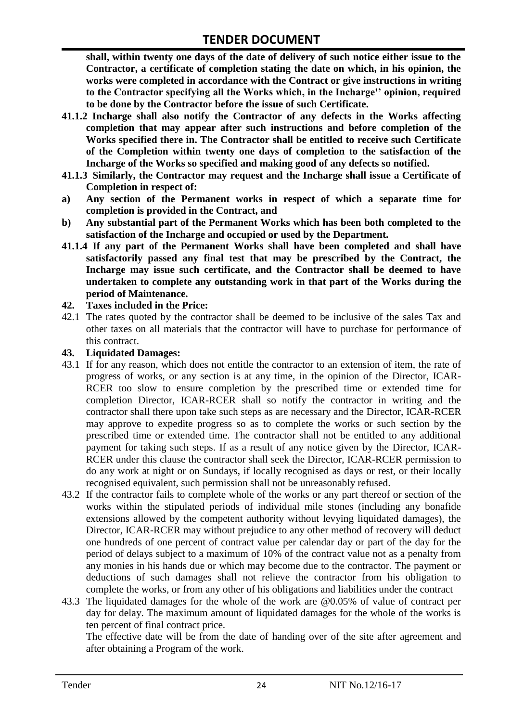**shall, within twenty one days of the date of delivery of such notice either issue to the Contractor, a certificate of completion stating the date on which, in his opinion, the works were completed in accordance with the Contract or give instructions in writing to the Contractor specifying all the Works which, in the Incharge'' opinion, required to be done by the Contractor before the issue of such Certificate.**

- **41.1.2 Incharge shall also notify the Contractor of any defects in the Works affecting completion that may appear after such instructions and before completion of the Works specified there in. The Contractor shall be entitled to receive such Certificate of the Completion within twenty one days of completion to the satisfaction of the Incharge of the Works so specified and making good of any defects so notified.**
- **41.1.3 Similarly, the Contractor may request and the Incharge shall issue a Certificate of Completion in respect of:**
- **a) Any section of the Permanent works in respect of which a separate time for completion is provided in the Contract, and**
- **b) Any substantial part of the Permanent Works which has been both completed to the satisfaction of the Incharge and occupied or used by the Department.**
- **41.1.4 If any part of the Permanent Works shall have been completed and shall have satisfactorily passed any final test that may be prescribed by the Contract, the Incharge may issue such certificate, and the Contractor shall be deemed to have undertaken to complete any outstanding work in that part of the Works during the period of Maintenance.**

#### **42. Taxes included in the Price:**

42.1 The rates quoted by the contractor shall be deemed to be inclusive of the sales Tax and other taxes on all materials that the contractor will have to purchase for performance of this contract.

#### **43. Liquidated Damages:**

- 43.1 If for any reason, which does not entitle the contractor to an extension of item, the rate of progress of works, or any section is at any time, in the opinion of the Director, ICAR-RCER too slow to ensure completion by the prescribed time or extended time for completion Director, ICAR-RCER shall so notify the contractor in writing and the contractor shall there upon take such steps as are necessary and the Director, ICAR-RCER may approve to expedite progress so as to complete the works or such section by the prescribed time or extended time. The contractor shall not be entitled to any additional payment for taking such steps. If as a result of any notice given by the Director, ICAR-RCER under this clause the contractor shall seek the Director, ICAR-RCER permission to do any work at night or on Sundays, if locally recognised as days or rest, or their locally recognised equivalent, such permission shall not be unreasonably refused.
- 43.2 If the contractor fails to complete whole of the works or any part thereof or section of the works within the stipulated periods of individual mile stones (including any bonafide extensions allowed by the competent authority without levying liquidated damages), the Director, ICAR-RCER may without prejudice to any other method of recovery will deduct one hundreds of one percent of contract value per calendar day or part of the day for the period of delays subject to a maximum of 10% of the contract value not as a penalty from any monies in his hands due or which may become due to the contractor. The payment or deductions of such damages shall not relieve the contractor from his obligation to complete the works, or from any other of his obligations and liabilities under the contract
- 43.3 The liquidated damages for the whole of the work are @0.05% of value of contract per day for delay. The maximum amount of liquidated damages for the whole of the works is ten percent of final contract price.

The effective date will be from the date of handing over of the site after agreement and after obtaining a Program of the work.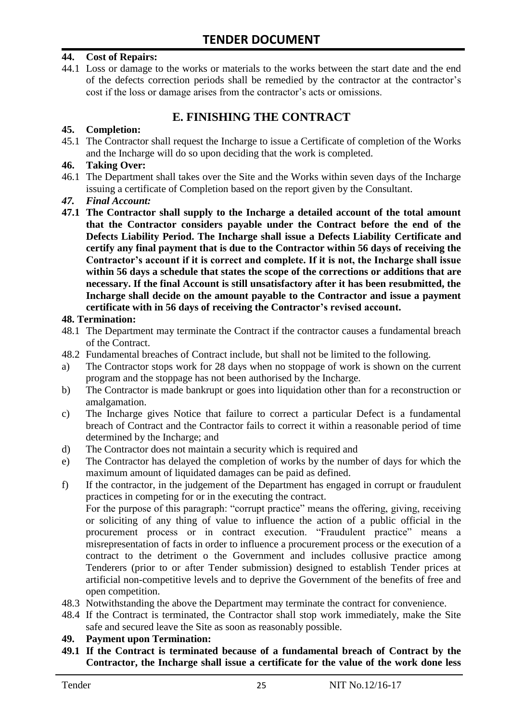#### **44. Cost of Repairs:**

44.1 Loss or damage to the works or materials to the works between the start date and the end of the defects correction periods shall be remedied by the contractor at the contractor"s cost if the loss or damage arises from the contractor's acts or omissions.

# **E. FINISHING THE CONTRACT**

#### **45. Completion:**

45.1 The Contractor shall request the Incharge to issue a Certificate of completion of the Works and the Incharge will do so upon deciding that the work is completed.

#### **46. Taking Over:**

- 46.1 The Department shall takes over the Site and the Works within seven days of the Incharge issuing a certificate of Completion based on the report given by the Consultant.
- *47. Final Account:*
- **47.1 The Contractor shall supply to the Incharge a detailed account of the total amount that the Contractor considers payable under the Contract before the end of the Defects Liability Period. The Incharge shall issue a Defects Liability Certificate and certify any final payment that is due to the Contractor within 56 days of receiving the Contractor's account if it is correct and complete. If it is not, the Incharge shall issue within 56 days a schedule that states the scope of the corrections or additions that are necessary. If the final Account is still unsatisfactory after it has been resubmitted, the Incharge shall decide on the amount payable to the Contractor and issue a payment certificate with in 56 days of receiving the Contractor's revised account.**

#### **48. Termination:**

- 48.1 The Department may terminate the Contract if the contractor causes a fundamental breach of the Contract.
- 48.2 Fundamental breaches of Contract include, but shall not be limited to the following.
- a) The Contractor stops work for 28 days when no stoppage of work is shown on the current program and the stoppage has not been authorised by the Incharge.
- b) The Contractor is made bankrupt or goes into liquidation other than for a reconstruction or amalgamation.
- c) The Incharge gives Notice that failure to correct a particular Defect is a fundamental breach of Contract and the Contractor fails to correct it within a reasonable period of time determined by the Incharge; and
- d) The Contractor does not maintain a security which is required and
- e) The Contractor has delayed the completion of works by the number of days for which the maximum amount of liquidated damages can be paid as defined.
- f) If the contractor, in the judgement of the Department has engaged in corrupt or fraudulent practices in competing for or in the executing the contract.

For the purpose of this paragraph: "corrupt practice" means the offering, giving, receiving or soliciting of any thing of value to influence the action of a public official in the procurement process or in contract execution. "Fraudulent practice" means a misrepresentation of facts in order to influence a procurement process or the execution of a contract to the detriment o the Government and includes collusive practice among Tenderers (prior to or after Tender submission) designed to establish Tender prices at artificial non-competitive levels and to deprive the Government of the benefits of free and open competition.

- 48.3 Notwithstanding the above the Department may terminate the contract for convenience.
- 48.4 If the Contract is terminated, the Contractor shall stop work immediately, make the Site safe and secured leave the Site as soon as reasonably possible.

#### **49. Payment upon Termination:**

**49.1 If the Contract is terminated because of a fundamental breach of Contract by the Contractor, the Incharge shall issue a certificate for the value of the work done less**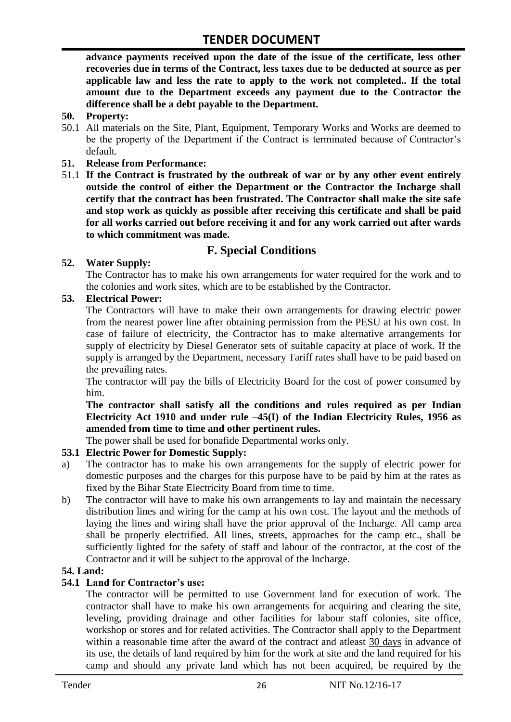**advance payments received upon the date of the issue of the certificate, less other recoveries due in terms of the Contract, less taxes due to be deducted at source as per applicable law and less the rate to apply to the work not completed.. If the total amount due to the Department exceeds any payment due to the Contractor the difference shall be a debt payable to the Department.**

- **50. Property:**
- 50.1 All materials on the Site, Plant, Equipment, Temporary Works and Works are deemed to be the property of the Department if the Contract is terminated because of Contractor's default.
- **51. Release from Performance:**
- 51.1 **If the Contract is frustrated by the outbreak of war or by any other event entirely outside the control of either the Department or the Contractor the Incharge shall certify that the contract has been frustrated. The Contractor shall make the site safe and stop work as quickly as possible after receiving this certificate and shall be paid for all works carried out before receiving it and for any work carried out after wards to which commitment was made.**

# **F. Special Conditions**

#### **52. Water Supply:**

The Contractor has to make his own arrangements for water required for the work and to the colonies and work sites, which are to be established by the Contractor.

#### **53. Electrical Power:**

The Contractors will have to make their own arrangements for drawing electric power from the nearest power line after obtaining permission from the PESU at his own cost. In case of failure of electricity, the Contractor has to make alternative arrangements for supply of electricity by Diesel Generator sets of suitable capacity at place of work. If the supply is arranged by the Department, necessary Tariff rates shall have to be paid based on the prevailing rates.

The contractor will pay the bills of Electricity Board for the cost of power consumed by him.

**The contractor shall satisfy all the conditions and rules required as per Indian Electricity Act 1910 and under rule –45(I) of the Indian Electricity Rules, 1956 as amended from time to time and other pertinent rules.**

The power shall be used for bonafide Departmental works only.

#### **53.1 Electric Power for Domestic Supply:**

- a) The contractor has to make his own arrangements for the supply of electric power for domestic purposes and the charges for this purpose have to be paid by him at the rates as fixed by the Bihar State Electricity Board from time to time.
- b) The contractor will have to make his own arrangements to lay and maintain the necessary distribution lines and wiring for the camp at his own cost. The layout and the methods of laying the lines and wiring shall have the prior approval of the Incharge. All camp area shall be properly electrified. All lines, streets, approaches for the camp etc., shall be sufficiently lighted for the safety of staff and labour of the contractor, at the cost of the Contractor and it will be subject to the approval of the Incharge.

#### **54. Land:**

#### **54.1 Land for Contractor's use:**

The contractor will be permitted to use Government land for execution of work. The contractor shall have to make his own arrangements for acquiring and clearing the site, leveling, providing drainage and other facilities for labour staff colonies, site office, workshop or stores and for related activities. The Contractor shall apply to the Department within a reasonable time after the award of the contract and atleast 30 days in advance of its use, the details of land required by him for the work at site and the land required for his camp and should any private land which has not been acquired, be required by the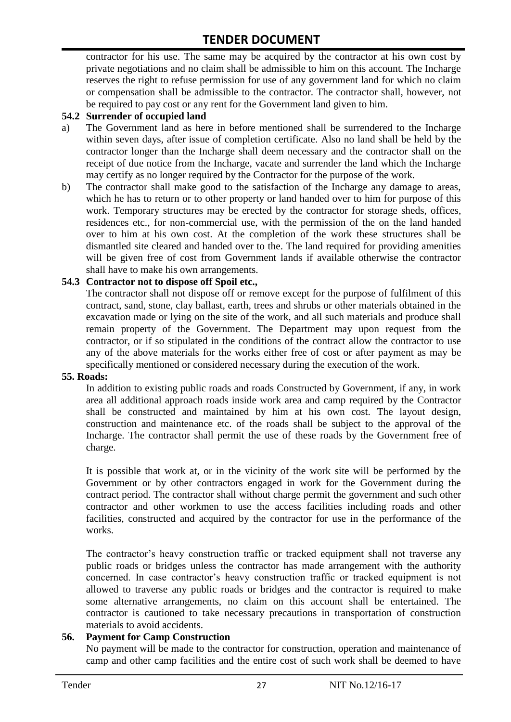contractor for his use. The same may be acquired by the contractor at his own cost by private negotiations and no claim shall be admissible to him on this account. The Incharge reserves the right to refuse permission for use of any government land for which no claim or compensation shall be admissible to the contractor. The contractor shall, however, not be required to pay cost or any rent for the Government land given to him.

#### **54.2 Surrender of occupied land**

- a) The Government land as here in before mentioned shall be surrendered to the Incharge within seven days, after issue of completion certificate. Also no land shall be held by the contractor longer than the Incharge shall deem necessary and the contractor shall on the receipt of due notice from the Incharge, vacate and surrender the land which the Incharge may certify as no longer required by the Contractor for the purpose of the work.
- b) The contractor shall make good to the satisfaction of the Incharge any damage to areas, which he has to return or to other property or land handed over to him for purpose of this work. Temporary structures may be erected by the contractor for storage sheds, offices, residences etc., for non-commercial use, with the permission of the on the land handed over to him at his own cost. At the completion of the work these structures shall be dismantled site cleared and handed over to the. The land required for providing amenities will be given free of cost from Government lands if available otherwise the contractor shall have to make his own arrangements.

#### **54.3 Contractor not to dispose off Spoil etc.,**

The contractor shall not dispose off or remove except for the purpose of fulfilment of this contract, sand, stone, clay ballast, earth, trees and shrubs or other materials obtained in the excavation made or lying on the site of the work, and all such materials and produce shall remain property of the Government. The Department may upon request from the contractor, or if so stipulated in the conditions of the contract allow the contractor to use any of the above materials for the works either free of cost or after payment as may be specifically mentioned or considered necessary during the execution of the work.

#### **55. Roads:**

In addition to existing public roads and roads Constructed by Government, if any, in work area all additional approach roads inside work area and camp required by the Contractor shall be constructed and maintained by him at his own cost. The layout design, construction and maintenance etc. of the roads shall be subject to the approval of the Incharge. The contractor shall permit the use of these roads by the Government free of charge.

It is possible that work at, or in the vicinity of the work site will be performed by the Government or by other contractors engaged in work for the Government during the contract period. The contractor shall without charge permit the government and such other contractor and other workmen to use the access facilities including roads and other facilities, constructed and acquired by the contractor for use in the performance of the works.

The contractor's heavy construction traffic or tracked equipment shall not traverse any public roads or bridges unless the contractor has made arrangement with the authority concerned. In case contractor"s heavy construction traffic or tracked equipment is not allowed to traverse any public roads or bridges and the contractor is required to make some alternative arrangements, no claim on this account shall be entertained. The contractor is cautioned to take necessary precautions in transportation of construction materials to avoid accidents.

#### **56. Payment for Camp Construction**

No payment will be made to the contractor for construction, operation and maintenance of camp and other camp facilities and the entire cost of such work shall be deemed to have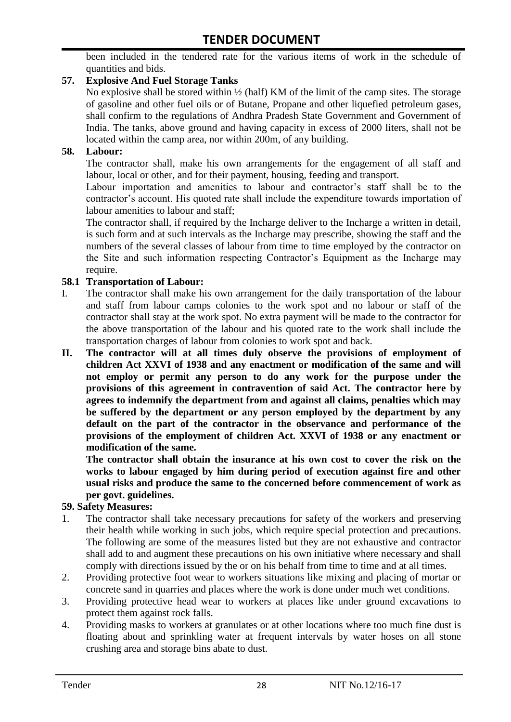been included in the tendered rate for the various items of work in the schedule of quantities and bids.

#### **57. Explosive And Fuel Storage Tanks**

No explosive shall be stored within ½ (half) KM of the limit of the camp sites. The storage of gasoline and other fuel oils or of Butane, Propane and other liquefied petroleum gases, shall confirm to the regulations of Andhra Pradesh State Government and Government of India. The tanks, above ground and having capacity in excess of 2000 liters, shall not be located within the camp area, nor within 200m, of any building.

#### **58. Labour:**

The contractor shall, make his own arrangements for the engagement of all staff and labour, local or other, and for their payment, housing, feeding and transport.

Labour importation and amenities to labour and contractor's staff shall be to the contractor's account. His quoted rate shall include the expenditure towards importation of labour amenities to labour and staff;

The contractor shall, if required by the Incharge deliver to the Incharge a written in detail, is such form and at such intervals as the Incharge may prescribe, showing the staff and the numbers of the several classes of labour from time to time employed by the contractor on the Site and such information respecting Contractor"s Equipment as the Incharge may require.

#### **58.1 Transportation of Labour:**

- I. The contractor shall make his own arrangement for the daily transportation of the labour and staff from labour camps colonies to the work spot and no labour or staff of the contractor shall stay at the work spot. No extra payment will be made to the contractor for the above transportation of the labour and his quoted rate to the work shall include the transportation charges of labour from colonies to work spot and back.
- **II. The contractor will at all times duly observe the provisions of employment of children Act XXVI of 1938 and any enactment or modification of the same and will not employ or permit any person to do any work for the purpose under the provisions of this agreement in contravention of said Act. The contractor here by agrees to indemnify the department from and against all claims, penalties which may be suffered by the department or any person employed by the department by any default on the part of the contractor in the observance and performance of the provisions of the employment of children Act. XXVI of 1938 or any enactment or modification of the same.**

**The contractor shall obtain the insurance at his own cost to cover the risk on the works to labour engaged by him during period of execution against fire and other usual risks and produce the same to the concerned before commencement of work as per govt. guidelines.**

#### **59. Safety Measures:**

- 1. The contractor shall take necessary precautions for safety of the workers and preserving their health while working in such jobs, which require special protection and precautions. The following are some of the measures listed but they are not exhaustive and contractor shall add to and augment these precautions on his own initiative where necessary and shall comply with directions issued by the or on his behalf from time to time and at all times.
- 2. Providing protective foot wear to workers situations like mixing and placing of mortar or concrete sand in quarries and places where the work is done under much wet conditions.
- 3. Providing protective head wear to workers at places like under ground excavations to protect them against rock falls.
- 4. Providing masks to workers at granulates or at other locations where too much fine dust is floating about and sprinkling water at frequent intervals by water hoses on all stone crushing area and storage bins abate to dust.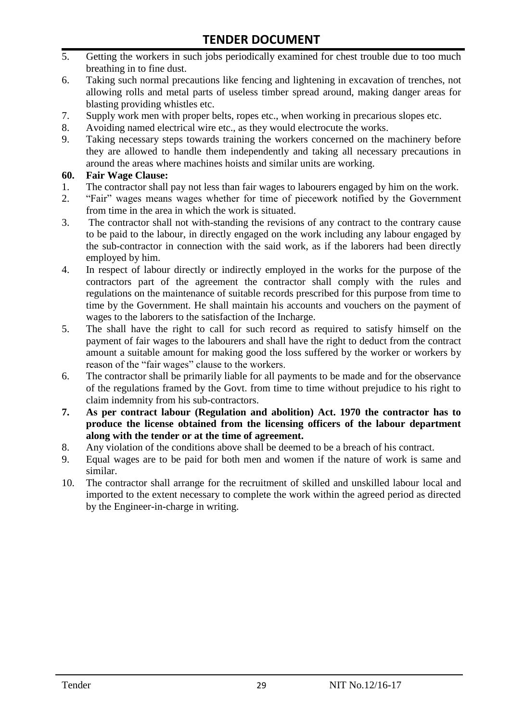- 5. Getting the workers in such jobs periodically examined for chest trouble due to too much breathing in to fine dust.
- 6. Taking such normal precautions like fencing and lightening in excavation of trenches, not allowing rolls and metal parts of useless timber spread around, making danger areas for blasting providing whistles etc.
- 7. Supply work men with proper belts, ropes etc., when working in precarious slopes etc.
- 8. Avoiding named electrical wire etc., as they would electrocute the works.
- 9. Taking necessary steps towards training the workers concerned on the machinery before they are allowed to handle them independently and taking all necessary precautions in around the areas where machines hoists and similar units are working.

#### **60. Fair Wage Clause:**

- 1. The contractor shall pay not less than fair wages to labourers engaged by him on the work.
- 2. "Fair" wages means wages whether for time of piecework notified by the Government from time in the area in which the work is situated.
- 3. The contractor shall not with-standing the revisions of any contract to the contrary cause to be paid to the labour, in directly engaged on the work including any labour engaged by the sub-contractor in connection with the said work, as if the laborers had been directly employed by him.
- 4. In respect of labour directly or indirectly employed in the works for the purpose of the contractors part of the agreement the contractor shall comply with the rules and regulations on the maintenance of suitable records prescribed for this purpose from time to time by the Government. He shall maintain his accounts and vouchers on the payment of wages to the laborers to the satisfaction of the Incharge.
- 5. The shall have the right to call for such record as required to satisfy himself on the payment of fair wages to the labourers and shall have the right to deduct from the contract amount a suitable amount for making good the loss suffered by the worker or workers by reason of the "fair wages" clause to the workers.
- 6. The contractor shall be primarily liable for all payments to be made and for the observance of the regulations framed by the Govt. from time to time without prejudice to his right to claim indemnity from his sub-contractors.
- **7. As per contract labour (Regulation and abolition) Act. 1970 the contractor has to produce the license obtained from the licensing officers of the labour department along with the tender or at the time of agreement.**
- 8. Any violation of the conditions above shall be deemed to be a breach of his contract.
- 9. Equal wages are to be paid for both men and women if the nature of work is same and similar.
- 10. The contractor shall arrange for the recruitment of skilled and unskilled labour local and imported to the extent necessary to complete the work within the agreed period as directed by the Engineer-in-charge in writing.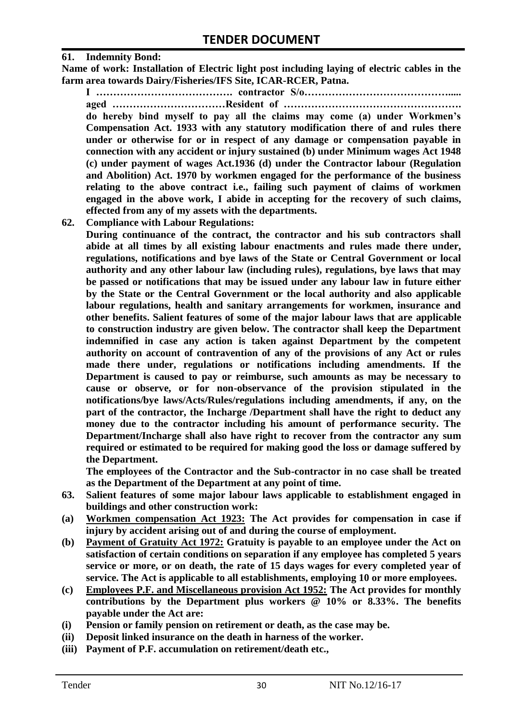#### **61. Indemnity Bond:**

**Name of work: Installation of Electric light post including laying of electric cables in the farm area towards Dairy/Fisheries/IFS Site, ICAR-RCER, Patna.**

**I …………………………………. contractor S/o……………………………………..... aged ……………………………Resident of ……………………………………………. do hereby bind myself to pay all the claims may come (a) under Workmen's Compensation Act. 1933 with any statutory modification there of and rules there under or otherwise for or in respect of any damage or compensation payable in connection with any accident or injury sustained (b) under Minimum wages Act 1948 (c) under payment of wages Act.1936 (d) under the Contractor labour (Regulation and Abolition) Act. 1970 by workmen engaged for the performance of the business relating to the above contract i.e., failing such payment of claims of workmen engaged in the above work, I abide in accepting for the recovery of such claims, effected from any of my assets with the departments.**

**62. Compliance with Labour Regulations:**

**During continuance of the contract, the contractor and his sub contractors shall abide at all times by all existing labour enactments and rules made there under, regulations, notifications and bye laws of the State or Central Government or local authority and any other labour law (including rules), regulations, bye laws that may be passed or notifications that may be issued under any labour law in future either by the State or the Central Government or the local authority and also applicable labour regulations, health and sanitary arrangements for workmen, insurance and other benefits. Salient features of some of the major labour laws that are applicable to construction industry are given below. The contractor shall keep the Department indemnified in case any action is taken against Department by the competent authority on account of contravention of any of the provisions of any Act or rules made there under, regulations or notifications including amendments. If the Department is caused to pay or reimburse, such amounts as may be necessary to cause or observe, or for non-observance of the provision stipulated in the notifications/bye laws/Acts/Rules/regulations including amendments, if any, on the part of the contractor, the Incharge /Department shall have the right to deduct any money due to the contractor including his amount of performance security. The Department/Incharge shall also have right to recover from the contractor any sum required or estimated to be required for making good the loss or damage suffered by the Department.**

**The employees of the Contractor and the Sub-contractor in no case shall be treated as the Department of the Department at any point of time.**

- **63. Salient features of some major labour laws applicable to establishment engaged in buildings and other construction work:**
- **(a) Workmen compensation Act 1923: The Act provides for compensation in case if injury by accident arising out of and during the course of employment.**
- **(b) Payment of Gratuity Act 1972: Gratuity is payable to an employee under the Act on satisfaction of certain conditions on separation if any employee has completed 5 years service or more, or on death, the rate of 15 days wages for every completed year of service. The Act is applicable to all establishments, employing 10 or more employees.**
- **(c) Employees P.F. and Miscellaneous provision Act 1952: The Act provides for monthly contributions by the Department plus workers @ 10% or 8.33%. The benefits payable under the Act are:**
- **(i) Pension or family pension on retirement or death, as the case may be.**
- **(ii) Deposit linked insurance on the death in harness of the worker.**
- **(iii) Payment of P.F. accumulation on retirement/death etc.,**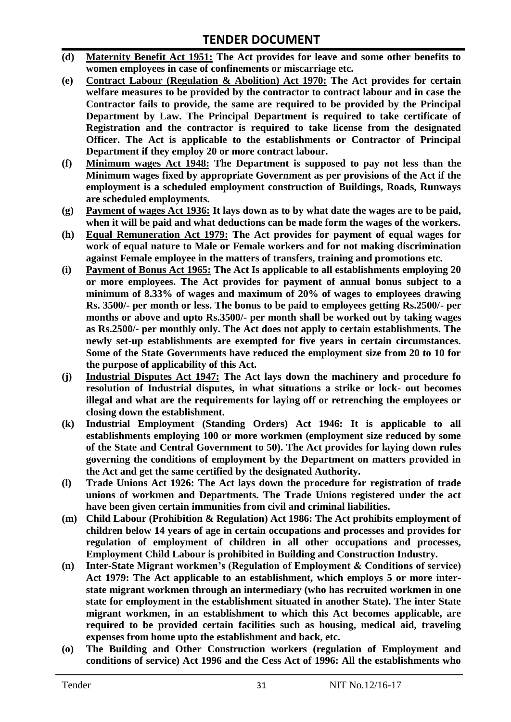- **(d) Maternity Benefit Act 1951: The Act provides for leave and some other benefits to women employees in case of confinements or miscarriage etc.**
- **(e) Contract Labour (Regulation & Abolition) Act 1970: The Act provides for certain welfare measures to be provided by the contractor to contract labour and in case the Contractor fails to provide, the same are required to be provided by the Principal Department by Law. The Principal Department is required to take certificate of Registration and the contractor is required to take license from the designated Officer. The Act is applicable to the establishments or Contractor of Principal Department if they employ 20 or more contract labour.**
- **(f) Minimum wages Act 1948: The Department is supposed to pay not less than the Minimum wages fixed by appropriate Government as per provisions of the Act if the employment is a scheduled employment construction of Buildings, Roads, Runways are scheduled employments.**
- **(g) Payment of wages Act 1936: It lays down as to by what date the wages are to be paid, when it will be paid and what deductions can be made form the wages of the workers.**
- **(h) Equal Remuneration Act 1979: The Act provides for payment of equal wages for work of equal nature to Male or Female workers and for not making discrimination against Female employee in the matters of transfers, training and promotions etc.**
- **(i) Payment of Bonus Act 1965: The Act Is applicable to all establishments employing 20 or more employees. The Act provides for payment of annual bonus subject to a minimum of 8.33% of wages and maximum of 20% of wages to employees drawing Rs. 3500/- per month or less. The bonus to be paid to employees getting Rs.2500/- per months or above and upto Rs.3500/- per month shall be worked out by taking wages as Rs.2500/- per monthly only. The Act does not apply to certain establishments. The newly set-up establishments are exempted for five years in certain circumstances. Some of the State Governments have reduced the employment size from 20 to 10 for the purpose of applicability of this Act.**
- **(j) Industrial Disputes Act 1947: The Act lays down the machinery and procedure fo resolution of Industrial disputes, in what situations a strike or lock- out becomes illegal and what are the requirements for laying off or retrenching the employees or closing down the establishment.**
- **(k) Industrial Employment (Standing Orders) Act 1946: It is applicable to all establishments employing 100 or more workmen (employment size reduced by some of the State and Central Government to 50). The Act provides for laying down rules governing the conditions of employment by the Department on matters provided in the Act and get the same certified by the designated Authority.**
- **(l) Trade Unions Act 1926: The Act lays down the procedure for registration of trade unions of workmen and Departments. The Trade Unions registered under the act have been given certain immunities from civil and criminal liabilities.**
- **(m) Child Labour (Prohibition & Regulation) Act 1986: The Act prohibits employment of children below 14 years of age in certain occupations and processes and provides for regulation of employment of children in all other occupations and processes, Employment Child Labour is prohibited in Building and Construction Industry.**
- **(n) Inter-State Migrant workmen's (Regulation of Employment & Conditions of service) Act 1979: The Act applicable to an establishment, which employs 5 or more interstate migrant workmen through an intermediary (who has recruited workmen in one state for employment in the establishment situated in another State). The inter State migrant workmen, in an establishment to which this Act becomes applicable, are required to be provided certain facilities such as housing, medical aid, traveling expenses from home upto the establishment and back, etc.**
- **(o) The Building and Other Construction workers (regulation of Employment and conditions of service) Act 1996 and the Cess Act of 1996: All the establishments who**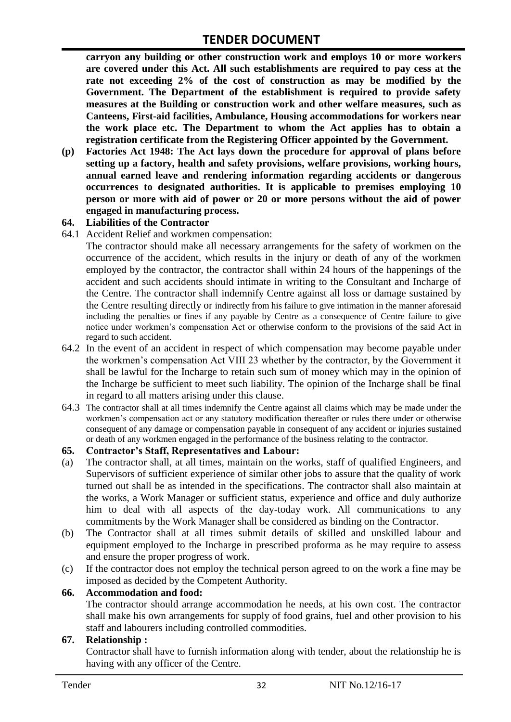**carryon any building or other construction work and employs 10 or more workers are covered under this Act. All such establishments are required to pay cess at the rate not exceeding 2% of the cost of construction as may be modified by the Government. The Department of the establishment is required to provide safety measures at the Building or construction work and other welfare measures, such as Canteens, First-aid facilities, Ambulance, Housing accommodations for workers near the work place etc. The Department to whom the Act applies has to obtain a registration certificate from the Registering Officer appointed by the Government.**

**(p) Factories Act 1948: The Act lays down the procedure for approval of plans before setting up a factory, health and safety provisions, welfare provisions, working hours, annual earned leave and rendering information regarding accidents or dangerous occurrences to designated authorities. It is applicable to premises employing 10 person or more with aid of power or 20 or more persons without the aid of power engaged in manufacturing process.**

#### **64. Liabilities of the Contractor**

64.1 Accident Relief and workmen compensation:

The contractor should make all necessary arrangements for the safety of workmen on the occurrence of the accident, which results in the injury or death of any of the workmen employed by the contractor, the contractor shall within 24 hours of the happenings of the accident and such accidents should intimate in writing to the Consultant and Incharge of the Centre. The contractor shall indemnify Centre against all loss or damage sustained by the Centre resulting directly or indirectly from his failure to give intimation in the manner aforesaid including the penalties or fines if any payable by Centre as a consequence of Centre failure to give notice under workmen"s compensation Act or otherwise conform to the provisions of the said Act in regard to such accident.

- 64.2 In the event of an accident in respect of which compensation may become payable under the workmen"s compensation Act VIII 23 whether by the contractor, by the Government it shall be lawful for the Incharge to retain such sum of money which may in the opinion of the Incharge be sufficient to meet such liability. The opinion of the Incharge shall be final in regard to all matters arising under this clause.
- 64.3 The contractor shall at all times indemnify the Centre against all claims which may be made under the workmen"s compensation act or any statutory modification thereafter or rules there under or otherwise consequent of any damage or compensation payable in consequent of any accident or injuries sustained or death of any workmen engaged in the performance of the business relating to the contractor.

#### **65. Contractor's Staff, Representatives and Labour:**

- (a) The contractor shall, at all times, maintain on the works, staff of qualified Engineers, and Supervisors of sufficient experience of similar other jobs to assure that the quality of work turned out shall be as intended in the specifications. The contractor shall also maintain at the works, a Work Manager or sufficient status, experience and office and duly authorize him to deal with all aspects of the day-today work. All communications to any commitments by the Work Manager shall be considered as binding on the Contractor.
- (b) The Contractor shall at all times submit details of skilled and unskilled labour and equipment employed to the Incharge in prescribed proforma as he may require to assess and ensure the proper progress of work.
- (c) If the contractor does not employ the technical person agreed to on the work a fine may be imposed as decided by the Competent Authority.

#### **66. Accommodation and food:**

The contractor should arrange accommodation he needs, at his own cost. The contractor shall make his own arrangements for supply of food grains, fuel and other provision to his staff and labourers including controlled commodities.

#### **67. Relationship :**

Contractor shall have to furnish information along with tender, about the relationship he is having with any officer of the Centre.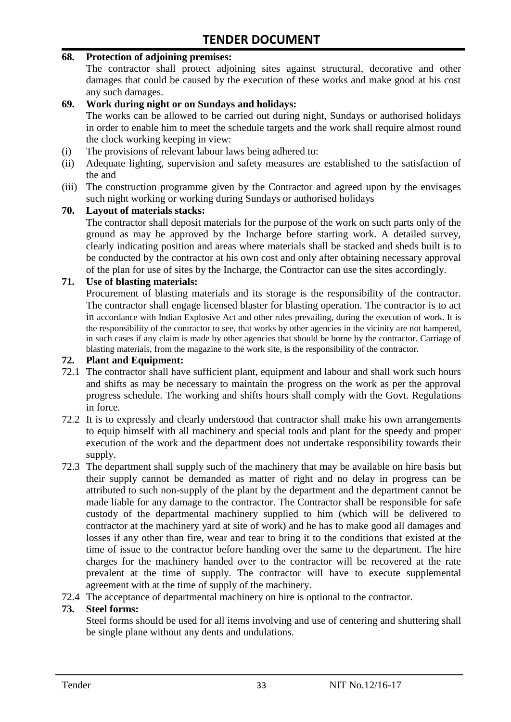#### **68. Protection of adjoining premises:**

The contractor shall protect adjoining sites against structural, decorative and other damages that could be caused by the execution of these works and make good at his cost any such damages.

#### **69. Work during night or on Sundays and holidays:**

The works can be allowed to be carried out during night, Sundays or authorised holidays in order to enable him to meet the schedule targets and the work shall require almost round the clock working keeping in view:

- (i) The provisions of relevant labour laws being adhered to:
- (ii) Adequate lighting, supervision and safety measures are established to the satisfaction of the and
- (iii) The construction programme given by the Contractor and agreed upon by the envisages such night working or working during Sundays or authorised holidays

#### **70. Layout of materials stacks:**

The contractor shall deposit materials for the purpose of the work on such parts only of the ground as may be approved by the Incharge before starting work. A detailed survey, clearly indicating position and areas where materials shall be stacked and sheds built is to be conducted by the contractor at his own cost and only after obtaining necessary approval of the plan for use of sites by the Incharge, the Contractor can use the sites accordingly.

#### **71. Use of blasting materials:**

Procurement of blasting materials and its storage is the responsibility of the contractor. The contractor shall engage licensed blaster for blasting operation. The contractor is to act in accordance with Indian Explosive Act and other rules prevailing, during the execution of work. It is the responsibility of the contractor to see, that works by other agencies in the vicinity are not hampered, in such cases if any claim is made by other agencies that should be borne by the contractor. Carriage of blasting materials, from the magazine to the work site, is the responsibility of the contractor.

#### **72. Plant and Equipment:**

- 72.1 The contractor shall have sufficient plant, equipment and labour and shall work such hours and shifts as may be necessary to maintain the progress on the work as per the approval progress schedule. The working and shifts hours shall comply with the Govt. Regulations in force.
- 72.2 It is to expressly and clearly understood that contractor shall make his own arrangements to equip himself with all machinery and special tools and plant for the speedy and proper execution of the work and the department does not undertake responsibility towards their supply.
- 72.3 The department shall supply such of the machinery that may be available on hire basis but their supply cannot be demanded as matter of right and no delay in progress can be attributed to such non-supply of the plant by the department and the department cannot be made liable for any damage to the contractor. The Contractor shall be responsible for safe custody of the departmental machinery supplied to him (which will be delivered to contractor at the machinery yard at site of work) and he has to make good all damages and losses if any other than fire, wear and tear to bring it to the conditions that existed at the time of issue to the contractor before handing over the same to the department. The hire charges for the machinery handed over to the contractor will be recovered at the rate prevalent at the time of supply. The contractor will have to execute supplemental agreement with at the time of supply of the machinery.
- 72.4 The acceptance of departmental machinery on hire is optional to the contractor.

#### **73. Steel forms:**

Steel forms should be used for all items involving and use of centering and shuttering shall be single plane without any dents and undulations.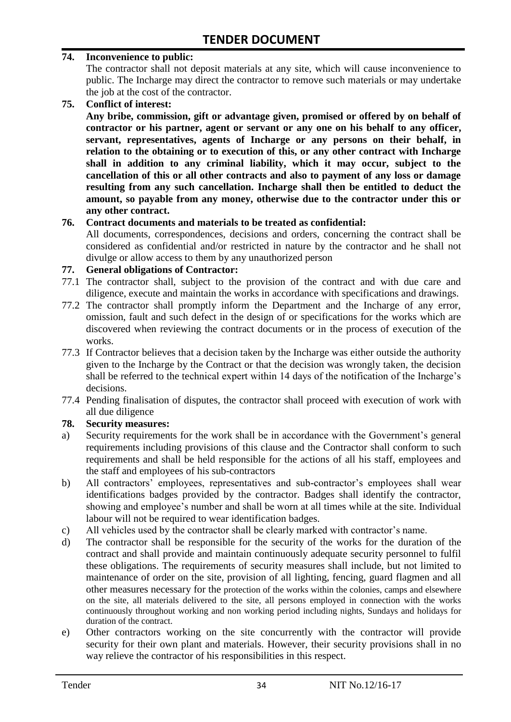#### **74. Inconvenience to public:**

The contractor shall not deposit materials at any site, which will cause inconvenience to public. The Incharge may direct the contractor to remove such materials or may undertake the job at the cost of the contractor.

**75. Conflict of interest:**

**Any bribe, commission, gift or advantage given, promised or offered by on behalf of contractor or his partner, agent or servant or any one on his behalf to any officer, servant, representatives, agents of Incharge or any persons on their behalf, in relation to the obtaining or to execution of this, or any other contract with Incharge shall in addition to any criminal liability, which it may occur, subject to the cancellation of this or all other contracts and also to payment of any loss or damage resulting from any such cancellation. Incharge shall then be entitled to deduct the amount, so payable from any money, otherwise due to the contractor under this or any other contract.**

#### **76. Contract documents and materials to be treated as confidential:**

All documents, correspondences, decisions and orders, concerning the contract shall be considered as confidential and/or restricted in nature by the contractor and he shall not divulge or allow access to them by any unauthorized person

#### **77. General obligations of Contractor:**

- 77.1 The contractor shall, subject to the provision of the contract and with due care and diligence, execute and maintain the works in accordance with specifications and drawings.
- 77.2 The contractor shall promptly inform the Department and the Incharge of any error, omission, fault and such defect in the design of or specifications for the works which are discovered when reviewing the contract documents or in the process of execution of the works.
- 77.3 If Contractor believes that a decision taken by the Incharge was either outside the authority given to the Incharge by the Contract or that the decision was wrongly taken, the decision shall be referred to the technical expert within 14 days of the notification of the Incharge's decisions.
- 77.4 Pending finalisation of disputes, the contractor shall proceed with execution of work with all due diligence

#### **78. Security measures:**

- a) Security requirements for the work shall be in accordance with the Government's general requirements including provisions of this clause and the Contractor shall conform to such requirements and shall be held responsible for the actions of all his staff, employees and the staff and employees of his sub-contractors
- b) All contractors' employees, representatives and sub-contractor's employees shall wear identifications badges provided by the contractor. Badges shall identify the contractor, showing and employee"s number and shall be worn at all times while at the site. Individual labour will not be required to wear identification badges.
- c) All vehicles used by the contractor shall be clearly marked with contractor"s name.
- d) The contractor shall be responsible for the security of the works for the duration of the contract and shall provide and maintain continuously adequate security personnel to fulfil these obligations. The requirements of security measures shall include, but not limited to maintenance of order on the site, provision of all lighting, fencing, guard flagmen and all other measures necessary for the protection of the works within the colonies, camps and elsewhere on the site, all materials delivered to the site, all persons employed in connection with the works continuously throughout working and non working period including nights, Sundays and holidays for duration of the contract.
- e) Other contractors working on the site concurrently with the contractor will provide security for their own plant and materials. However, their security provisions shall in no way relieve the contractor of his responsibilities in this respect.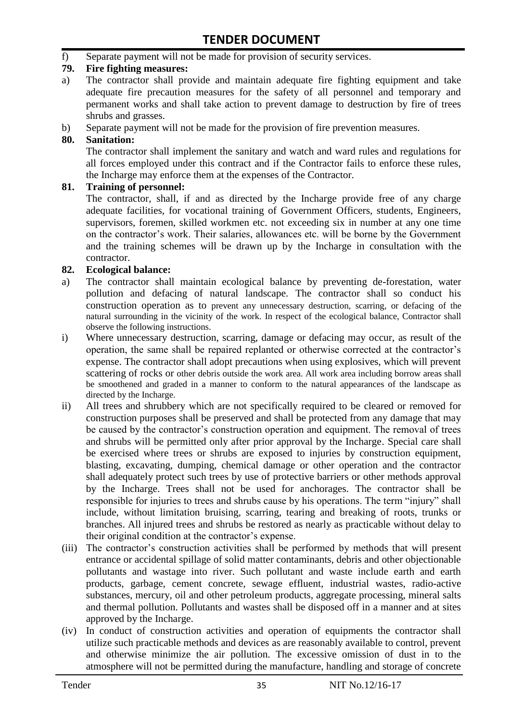f) Separate payment will not be made for provision of security services.

#### **79. Fire fighting measures:**

- a) The contractor shall provide and maintain adequate fire fighting equipment and take adequate fire precaution measures for the safety of all personnel and temporary and permanent works and shall take action to prevent damage to destruction by fire of trees shrubs and grasses.
- b) Separate payment will not be made for the provision of fire prevention measures.

#### **80. Sanitation:**

The contractor shall implement the sanitary and watch and ward rules and regulations for all forces employed under this contract and if the Contractor fails to enforce these rules, the Incharge may enforce them at the expenses of the Contractor.

#### **81. Training of personnel:**

The contractor, shall, if and as directed by the Incharge provide free of any charge adequate facilities, for vocational training of Government Officers, students, Engineers, supervisors, foremen, skilled workmen etc. not exceeding six in number at any one time on the contractor"s work. Their salaries, allowances etc. will be borne by the Government and the training schemes will be drawn up by the Incharge in consultation with the contractor.

#### **82. Ecological balance:**

- a) The contractor shall maintain ecological balance by preventing de-forestation, water pollution and defacing of natural landscape. The contractor shall so conduct his construction operation as to prevent any unnecessary destruction, scarring, or defacing of the natural surrounding in the vicinity of the work. In respect of the ecological balance, Contractor shall observe the following instructions.
- i) Where unnecessary destruction, scarring, damage or defacing may occur, as result of the operation, the same shall be repaired replanted or otherwise corrected at the contractor"s expense. The contractor shall adopt precautions when using explosives, which will prevent scattering of rocks or other debris outside the work area. All work area including borrow areas shall be smoothened and graded in a manner to conform to the natural appearances of the landscape as directed by the Incharge.
- ii) All trees and shrubbery which are not specifically required to be cleared or removed for construction purposes shall be preserved and shall be protected from any damage that may be caused by the contractor's construction operation and equipment. The removal of trees and shrubs will be permitted only after prior approval by the Incharge. Special care shall be exercised where trees or shrubs are exposed to injuries by construction equipment, blasting, excavating, dumping, chemical damage or other operation and the contractor shall adequately protect such trees by use of protective barriers or other methods approval by the Incharge. Trees shall not be used for anchorages. The contractor shall be responsible for injuries to trees and shrubs cause by his operations. The term "injury" shall include, without limitation bruising, scarring, tearing and breaking of roots, trunks or branches. All injured trees and shrubs be restored as nearly as practicable without delay to their original condition at the contractor"s expense.
- (iii) The contractor's construction activities shall be performed by methods that will present entrance or accidental spillage of solid matter contaminants, debris and other objectionable pollutants and wastage into river. Such pollutant and waste include earth and earth products, garbage, cement concrete, sewage effluent, industrial wastes, radio-active substances, mercury, oil and other petroleum products, aggregate processing, mineral salts and thermal pollution. Pollutants and wastes shall be disposed off in a manner and at sites approved by the Incharge.
- (iv) In conduct of construction activities and operation of equipments the contractor shall utilize such practicable methods and devices as are reasonably available to control, prevent and otherwise minimize the air pollution. The excessive omission of dust in to the atmosphere will not be permitted during the manufacture, handling and storage of concrete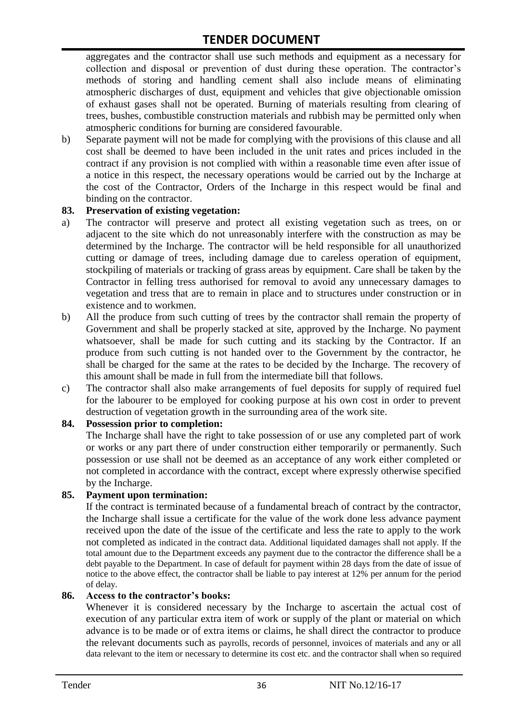aggregates and the contractor shall use such methods and equipment as a necessary for collection and disposal or prevention of dust during these operation. The contractor's methods of storing and handling cement shall also include means of eliminating atmospheric discharges of dust, equipment and vehicles that give objectionable omission of exhaust gases shall not be operated. Burning of materials resulting from clearing of trees, bushes, combustible construction materials and rubbish may be permitted only when atmospheric conditions for burning are considered favourable.

b) Separate payment will not be made for complying with the provisions of this clause and all cost shall be deemed to have been included in the unit rates and prices included in the contract if any provision is not complied with within a reasonable time even after issue of a notice in this respect, the necessary operations would be carried out by the Incharge at the cost of the Contractor, Orders of the Incharge in this respect would be final and binding on the contractor.

#### **83. Preservation of existing vegetation:**

- a) The contractor will preserve and protect all existing vegetation such as trees, on or adjacent to the site which do not unreasonably interfere with the construction as may be determined by the Incharge. The contractor will be held responsible for all unauthorized cutting or damage of trees, including damage due to careless operation of equipment, stockpiling of materials or tracking of grass areas by equipment. Care shall be taken by the Contractor in felling tress authorised for removal to avoid any unnecessary damages to vegetation and tress that are to remain in place and to structures under construction or in existence and to workmen.
- b) All the produce from such cutting of trees by the contractor shall remain the property of Government and shall be properly stacked at site, approved by the Incharge. No payment whatsoever, shall be made for such cutting and its stacking by the Contractor. If an produce from such cutting is not handed over to the Government by the contractor, he shall be charged for the same at the rates to be decided by the Incharge. The recovery of this amount shall be made in full from the intermediate bill that follows.
- c) The contractor shall also make arrangements of fuel deposits for supply of required fuel for the labourer to be employed for cooking purpose at his own cost in order to prevent destruction of vegetation growth in the surrounding area of the work site.

#### **84. Possession prior to completion:**

The Incharge shall have the right to take possession of or use any completed part of work or works or any part there of under construction either temporarily or permanently. Such possession or use shall not be deemed as an acceptance of any work either completed or not completed in accordance with the contract, except where expressly otherwise specified by the Incharge.

#### **85. Payment upon termination:**

If the contract is terminated because of a fundamental breach of contract by the contractor, the Incharge shall issue a certificate for the value of the work done less advance payment received upon the date of the issue of the certificate and less the rate to apply to the work not completed as indicated in the contract data. Additional liquidated damages shall not apply. If the total amount due to the Department exceeds any payment due to the contractor the difference shall be a debt payable to the Department. In case of default for payment within 28 days from the date of issue of notice to the above effect, the contractor shall be liable to pay interest at 12% per annum for the period of delay.

#### **86. Access to the contractor's books:**

Whenever it is considered necessary by the Incharge to ascertain the actual cost of execution of any particular extra item of work or supply of the plant or material on which advance is to be made or of extra items or claims, he shall direct the contractor to produce the relevant documents such as payrolls, records of personnel, invoices of materials and any or all data relevant to the item or necessary to determine its cost etc. and the contractor shall when so required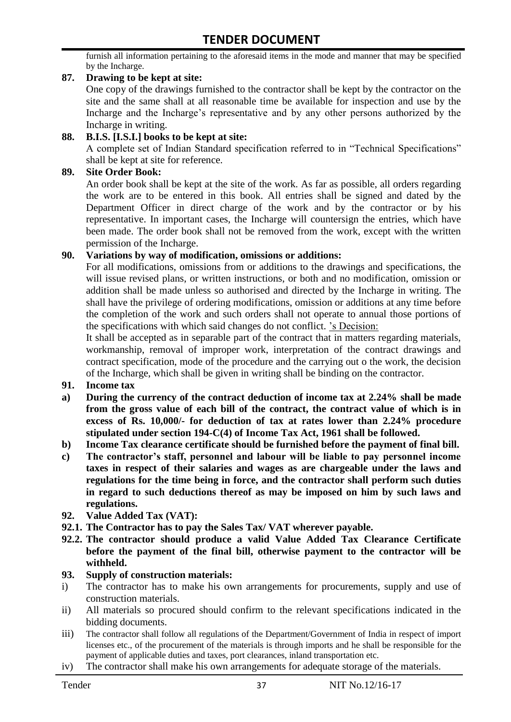furnish all information pertaining to the aforesaid items in the mode and manner that may be specified by the Incharge.

#### **87. Drawing to be kept at site:**

One copy of the drawings furnished to the contractor shall be kept by the contractor on the site and the same shall at all reasonable time be available for inspection and use by the Incharge and the Incharge"s representative and by any other persons authorized by the Incharge in writing.

#### **88. B.I.S. [I.S.I.] books to be kept at site:**

A complete set of Indian Standard specification referred to in "Technical Specifications" shall be kept at site for reference.

#### **89. Site Order Book:**

An order book shall be kept at the site of the work. As far as possible, all orders regarding the work are to be entered in this book. All entries shall be signed and dated by the Department Officer in direct charge of the work and by the contractor or by his representative. In important cases, the Incharge will countersign the entries, which have been made. The order book shall not be removed from the work, except with the written permission of the Incharge.

#### **90. Variations by way of modification, omissions or additions:**

For all modifications, omissions from or additions to the drawings and specifications, the will issue revised plans, or written instructions, or both and no modification, omission or addition shall be made unless so authorised and directed by the Incharge in writing. The shall have the privilege of ordering modifications, omission or additions at any time before the completion of the work and such orders shall not operate to annual those portions of the specifications with which said changes do not conflict. "s Decision:

It shall be accepted as in separable part of the contract that in matters regarding materials, workmanship, removal of improper work, interpretation of the contract drawings and contract specification, mode of the procedure and the carrying out o the work, the decision of the Incharge, which shall be given in writing shall be binding on the contractor.

- **91. Income tax**
- **a) During the currency of the contract deduction of income tax at 2.24% shall be made from the gross value of each bill of the contract, the contract value of which is in excess of Rs. 10,000/- for deduction of tax at rates lower than 2.24% procedure stipulated under section 194-C(4) of Income Tax Act, 1961 shall be followed.**
- **b) Income Tax clearance certificate should be furnished before the payment of final bill.**
- **c) The contractor's staff, personnel and labour will be liable to pay personnel income taxes in respect of their salaries and wages as are chargeable under the laws and regulations for the time being in force, and the contractor shall perform such duties in regard to such deductions thereof as may be imposed on him by such laws and regulations.**
- **92. Value Added Tax (VAT):**
- **92.1. The Contractor has to pay the Sales Tax/ VAT wherever payable.**
- **92.2. The contractor should produce a valid Value Added Tax Clearance Certificate before the payment of the final bill, otherwise payment to the contractor will be withheld.**

#### **93. Supply of construction materials:**

- i) The contractor has to make his own arrangements for procurements, supply and use of construction materials.
- ii) All materials so procured should confirm to the relevant specifications indicated in the bidding documents.
- iii) The contractor shall follow all regulations of the Department/Government of India in respect of import licenses etc., of the procurement of the materials is through imports and he shall be responsible for the payment of applicable duties and taxes, port clearances, inland transportation etc.
- iv) The contractor shall make his own arrangements for adequate storage of the materials.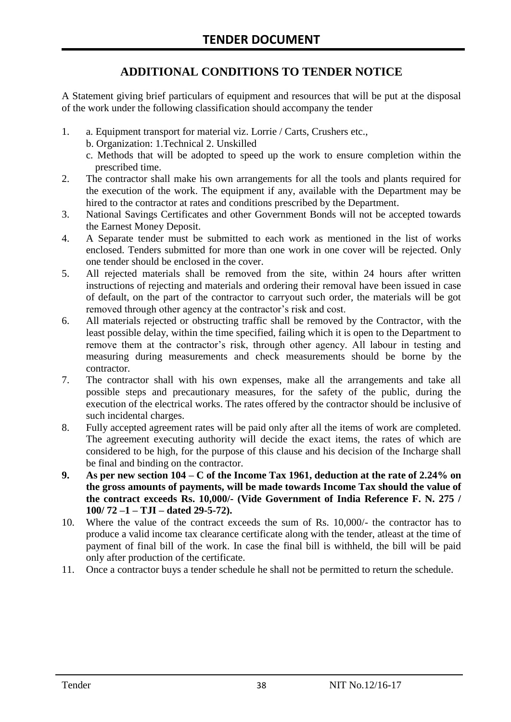# **ADDITIONAL CONDITIONS TO TENDER NOTICE**

A Statement giving brief particulars of equipment and resources that will be put at the disposal of the work under the following classification should accompany the tender

- 1. a. Equipment transport for material viz. Lorrie / Carts, Crushers etc.,
	- b. Organization: 1.Technical 2. Unskilled
	- c. Methods that will be adopted to speed up the work to ensure completion within the prescribed time.
- 2. The contractor shall make his own arrangements for all the tools and plants required for the execution of the work. The equipment if any, available with the Department may be hired to the contractor at rates and conditions prescribed by the Department.
- 3. National Savings Certificates and other Government Bonds will not be accepted towards the Earnest Money Deposit.
- 4. A Separate tender must be submitted to each work as mentioned in the list of works enclosed. Tenders submitted for more than one work in one cover will be rejected. Only one tender should be enclosed in the cover.
- 5. All rejected materials shall be removed from the site, within 24 hours after written instructions of rejecting and materials and ordering their removal have been issued in case of default, on the part of the contractor to carryout such order, the materials will be got removed through other agency at the contractor's risk and cost.
- 6. All materials rejected or obstructing traffic shall be removed by the Contractor, with the least possible delay, within the time specified, failing which it is open to the Department to remove them at the contractor's risk, through other agency. All labour in testing and measuring during measurements and check measurements should be borne by the contractor.
- 7. The contractor shall with his own expenses, make all the arrangements and take all possible steps and precautionary measures, for the safety of the public, during the execution of the electrical works. The rates offered by the contractor should be inclusive of such incidental charges.
- 8. Fully accepted agreement rates will be paid only after all the items of work are completed. The agreement executing authority will decide the exact items, the rates of which are considered to be high, for the purpose of this clause and his decision of the Incharge shall be final and binding on the contractor.
- **9. As per new section 104 – C of the Income Tax 1961, deduction at the rate of 2.24% on the gross amounts of payments, will be made towards Income Tax should the value of the contract exceeds Rs. 10,000/- (Vide Government of India Reference F. N. 275 / 100/ 72 –1 – TJI – dated 29-5-72).**
- 10. Where the value of the contract exceeds the sum of Rs. 10,000/- the contractor has to produce a valid income tax clearance certificate along with the tender, atleast at the time of payment of final bill of the work. In case the final bill is withheld, the bill will be paid only after production of the certificate.
- 11. Once a contractor buys a tender schedule he shall not be permitted to return the schedule.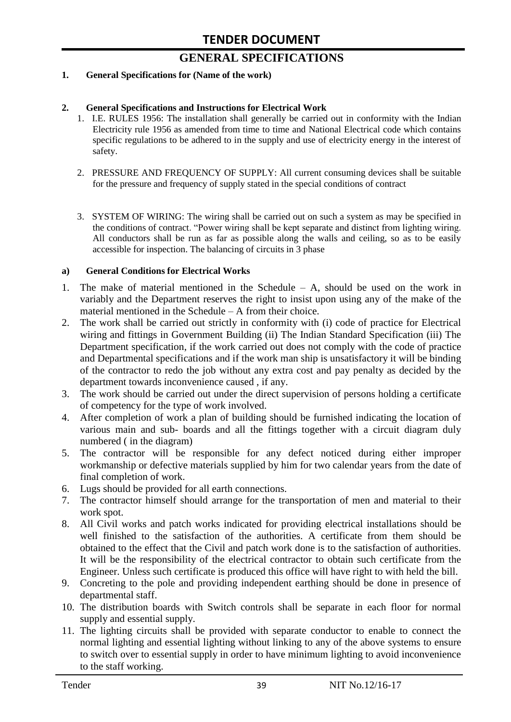# **GENERAL SPECIFICATIONS**

#### **1. General Specifications for (Name of the work)**

#### **2. General Specifications and Instructions for Electrical Work**

- 1. I.E. RULES 1956: The installation shall generally be carried out in conformity with the Indian Electricity rule 1956 as amended from time to time and National Electrical code which contains specific regulations to be adhered to in the supply and use of electricity energy in the interest of safety.
- 2. PRESSURE AND FREQUENCY OF SUPPLY: All current consuming devices shall be suitable for the pressure and frequency of supply stated in the special conditions of contract
- 3. SYSTEM OF WIRING: The wiring shall be carried out on such a system as may be specified in the conditions of contract. "Power wiring shall be kept separate and distinct from lighting wiring. All conductors shall be run as far as possible along the walls and ceiling, so as to be easily accessible for inspection. The balancing of circuits in 3 phase

#### **a) General Conditions for Electrical Works**

- 1. The make of material mentioned in the Schedule A, should be used on the work in variably and the Department reserves the right to insist upon using any of the make of the material mentioned in the Schedule – A from their choice.
- 2. The work shall be carried out strictly in conformity with (i) code of practice for Electrical wiring and fittings in Government Building (ii) The Indian Standard Specification (iii) The Department specification, if the work carried out does not comply with the code of practice and Departmental specifications and if the work man ship is unsatisfactory it will be binding of the contractor to redo the job without any extra cost and pay penalty as decided by the department towards inconvenience caused , if any.
- 3. The work should be carried out under the direct supervision of persons holding a certificate of competency for the type of work involved.
- 4. After completion of work a plan of building should be furnished indicating the location of various main and sub- boards and all the fittings together with a circuit diagram duly numbered ( in the diagram)
- 5. The contractor will be responsible for any defect noticed during either improper workmanship or defective materials supplied by him for two calendar years from the date of final completion of work.
- 6. Lugs should be provided for all earth connections.
- 7. The contractor himself should arrange for the transportation of men and material to their work spot.
- 8. All Civil works and patch works indicated for providing electrical installations should be well finished to the satisfaction of the authorities. A certificate from them should be obtained to the effect that the Civil and patch work done is to the satisfaction of authorities. It will be the responsibility of the electrical contractor to obtain such certificate from the Engineer. Unless such certificate is produced this office will have right to with held the bill.
- 9. Concreting to the pole and providing independent earthing should be done in presence of departmental staff.
- 10. The distribution boards with Switch controls shall be separate in each floor for normal supply and essential supply.
- 11. The lighting circuits shall be provided with separate conductor to enable to connect the normal lighting and essential lighting without linking to any of the above systems to ensure to switch over to essential supply in order to have minimum lighting to avoid inconvenience to the staff working.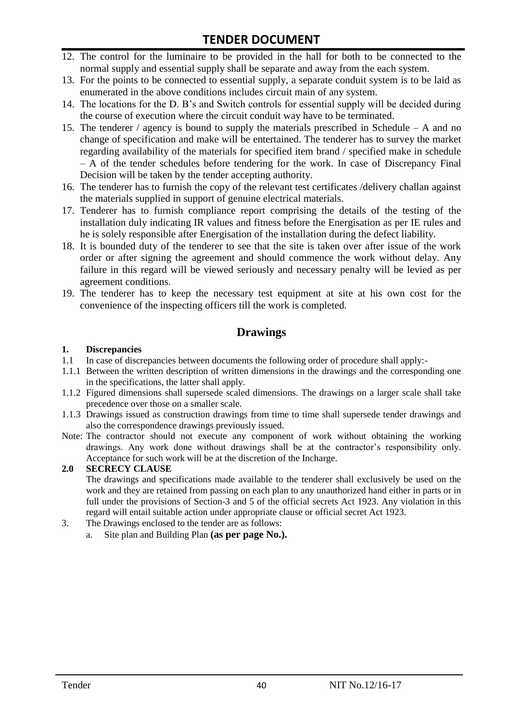- 12. The control for the luminaire to be provided in the hall for both to be connected to the normal supply and essential supply shall be separate and away from the each system.
- 13. For the points to be connected to essential supply, a separate conduit system is to be laid as enumerated in the above conditions includes circuit main of any system.
- 14. The locations for the D. B"s and Switch controls for essential supply will be decided during the course of execution where the circuit conduit way have to be terminated.
- 15. The tenderer / agency is bound to supply the materials prescribed in Schedule A and no change of specification and make will be entertained. The tenderer has to survey the market regarding availability of the materials for specified item brand / specified make in schedule – A of the tender schedules before tendering for the work. In case of Discrepancy Final Decision will be taken by the tender accepting authority.
- 16. The tenderer has to furnish the copy of the relevant test certificates /delivery challan against the materials supplied in support of genuine electrical materials.
- 17. Tenderer has to furnish compliance report comprising the details of the testing of the installation duly indicating IR values and fitness before the Energisation as per IE rules and he is solely responsible after Energisation of the installation during the defect liability.
- 18. It is bounded duty of the tenderer to see that the site is taken over after issue of the work order or after signing the agreement and should commence the work without delay. Any failure in this regard will be viewed seriously and necessary penalty will be levied as per agreement conditions.
- 19. The tenderer has to keep the necessary test equipment at site at his own cost for the convenience of the inspecting officers till the work is completed.

#### **Drawings**

#### **1. Discrepancies**

- 1.1 In case of discrepancies between documents the following order of procedure shall apply:-
- 1.1.1 Between the written description of written dimensions in the drawings and the corresponding one in the specifications, the latter shall apply.
- 1.1.2 Figured dimensions shall supersede scaled dimensions. The drawings on a larger scale shall take precedence over those on a smaller scale.
- 1.1.3 Drawings issued as construction drawings from time to time shall supersede tender drawings and also the correspondence drawings previously issued.
- Note: The contractor should not execute any component of work without obtaining the working drawings. Any work done without drawings shall be at the contractor"s responsibility only. Acceptance for such work will be at the discretion of the Incharge.

#### **2.0 SECRECY CLAUSE**

The drawings and specifications made available to the tenderer shall exclusively be used on the work and they are retained from passing on each plan to any unauthorized hand either in parts or in full under the provisions of Section-3 and 5 of the official secrets Act 1923. Any violation in this regard will entail suitable action under appropriate clause or official secret Act 1923.

- 3. The Drawings enclosed to the tender are as follows:
	- a. Site plan and Building Plan **(as per page No.).**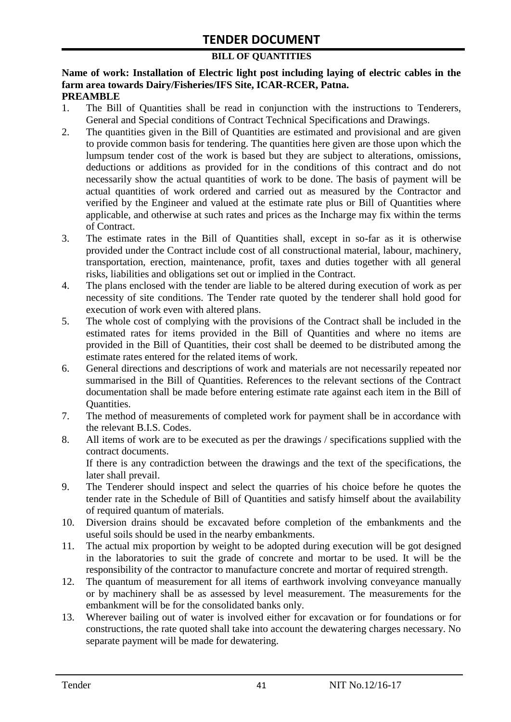#### **BILL OF QUANTITIES**

#### **Name of work: Installation of Electric light post including laying of electric cables in the farm area towards Dairy/Fisheries/IFS Site, ICAR-RCER, Patna. PREAMBLE**

- 1. The Bill of Quantities shall be read in conjunction with the instructions to Tenderers, General and Special conditions of Contract Technical Specifications and Drawings.
- 2. The quantities given in the Bill of Quantities are estimated and provisional and are given to provide common basis for tendering. The quantities here given are those upon which the lumpsum tender cost of the work is based but they are subject to alterations, omissions, deductions or additions as provided for in the conditions of this contract and do not necessarily show the actual quantities of work to be done. The basis of payment will be actual quantities of work ordered and carried out as measured by the Contractor and verified by the Engineer and valued at the estimate rate plus or Bill of Quantities where applicable, and otherwise at such rates and prices as the Incharge may fix within the terms of Contract.
- 3. The estimate rates in the Bill of Quantities shall, except in so-far as it is otherwise provided under the Contract include cost of all constructional material, labour, machinery, transportation, erection, maintenance, profit, taxes and duties together with all general risks, liabilities and obligations set out or implied in the Contract.
- 4. The plans enclosed with the tender are liable to be altered during execution of work as per necessity of site conditions. The Tender rate quoted by the tenderer shall hold good for execution of work even with altered plans.
- 5. The whole cost of complying with the provisions of the Contract shall be included in the estimated rates for items provided in the Bill of Quantities and where no items are provided in the Bill of Quantities, their cost shall be deemed to be distributed among the estimate rates entered for the related items of work.
- 6. General directions and descriptions of work and materials are not necessarily repeated nor summarised in the Bill of Quantities. References to the relevant sections of the Contract documentation shall be made before entering estimate rate against each item in the Bill of Quantities.
- 7. The method of measurements of completed work for payment shall be in accordance with the relevant B.I.S. Codes.
- 8. All items of work are to be executed as per the drawings / specifications supplied with the contract documents. If there is any contradiction between the drawings and the text of the specifications, the

later shall prevail.

- 9. The Tenderer should inspect and select the quarries of his choice before he quotes the tender rate in the Schedule of Bill of Quantities and satisfy himself about the availability of required quantum of materials.
- 10. Diversion drains should be excavated before completion of the embankments and the useful soils should be used in the nearby embankments.
- 11. The actual mix proportion by weight to be adopted during execution will be got designed in the laboratories to suit the grade of concrete and mortar to be used. It will be the responsibility of the contractor to manufacture concrete and mortar of required strength.
- 12. The quantum of measurement for all items of earthwork involving conveyance manually or by machinery shall be as assessed by level measurement. The measurements for the embankment will be for the consolidated banks only.
- 13. Wherever bailing out of water is involved either for excavation or for foundations or for constructions, the rate quoted shall take into account the dewatering charges necessary. No separate payment will be made for dewatering.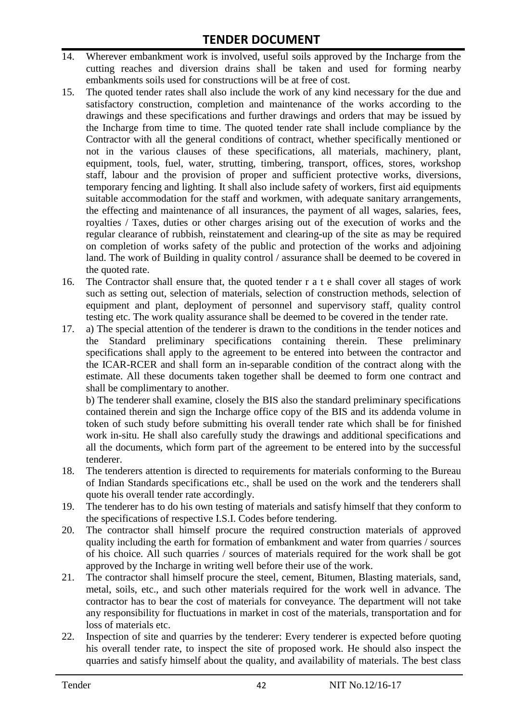- 14. Wherever embankment work is involved, useful soils approved by the Incharge from the cutting reaches and diversion drains shall be taken and used for forming nearby embankments soils used for constructions will be at free of cost.
- 15. The quoted tender rates shall also include the work of any kind necessary for the due and satisfactory construction, completion and maintenance of the works according to the drawings and these specifications and further drawings and orders that may be issued by the Incharge from time to time. The quoted tender rate shall include compliance by the Contractor with all the general conditions of contract, whether specifically mentioned or not in the various clauses of these specifications, all materials, machinery, plant, equipment, tools, fuel, water, strutting, timbering, transport, offices, stores, workshop staff, labour and the provision of proper and sufficient protective works, diversions, temporary fencing and lighting. It shall also include safety of workers, first aid equipments suitable accommodation for the staff and workmen, with adequate sanitary arrangements, the effecting and maintenance of all insurances, the payment of all wages, salaries, fees, royalties / Taxes, duties or other charges arising out of the execution of works and the regular clearance of rubbish, reinstatement and clearing-up of the site as may be required on completion of works safety of the public and protection of the works and adjoining land. The work of Building in quality control / assurance shall be deemed to be covered in the quoted rate.
- 16. The Contractor shall ensure that, the quoted tender r a t e shall cover all stages of work such as setting out, selection of materials, selection of construction methods, selection of equipment and plant, deployment of personnel and supervisory staff, quality control testing etc. The work quality assurance shall be deemed to be covered in the tender rate.
- 17. a) The special attention of the tenderer is drawn to the conditions in the tender notices and the Standard preliminary specifications containing therein. These preliminary specifications shall apply to the agreement to be entered into between the contractor and the ICAR-RCER and shall form an in-separable condition of the contract along with the estimate. All these documents taken together shall be deemed to form one contract and shall be complimentary to another.

b) The tenderer shall examine, closely the BIS also the standard preliminary specifications contained therein and sign the Incharge office copy of the BIS and its addenda volume in token of such study before submitting his overall tender rate which shall be for finished work in-situ. He shall also carefully study the drawings and additional specifications and all the documents, which form part of the agreement to be entered into by the successful tenderer.

- 18. The tenderers attention is directed to requirements for materials conforming to the Bureau of Indian Standards specifications etc., shall be used on the work and the tenderers shall quote his overall tender rate accordingly.
- 19. The tenderer has to do his own testing of materials and satisfy himself that they conform to the specifications of respective I.S.I. Codes before tendering.
- 20. The contractor shall himself procure the required construction materials of approved quality including the earth for formation of embankment and water from quarries / sources of his choice. All such quarries / sources of materials required for the work shall be got approved by the Incharge in writing well before their use of the work.
- 21. The contractor shall himself procure the steel, cement, Bitumen, Blasting materials, sand, metal, soils, etc., and such other materials required for the work well in advance. The contractor has to bear the cost of materials for conveyance. The department will not take any responsibility for fluctuations in market in cost of the materials, transportation and for loss of materials etc.
- 22. Inspection of site and quarries by the tenderer: Every tenderer is expected before quoting his overall tender rate, to inspect the site of proposed work. He should also inspect the quarries and satisfy himself about the quality, and availability of materials. The best class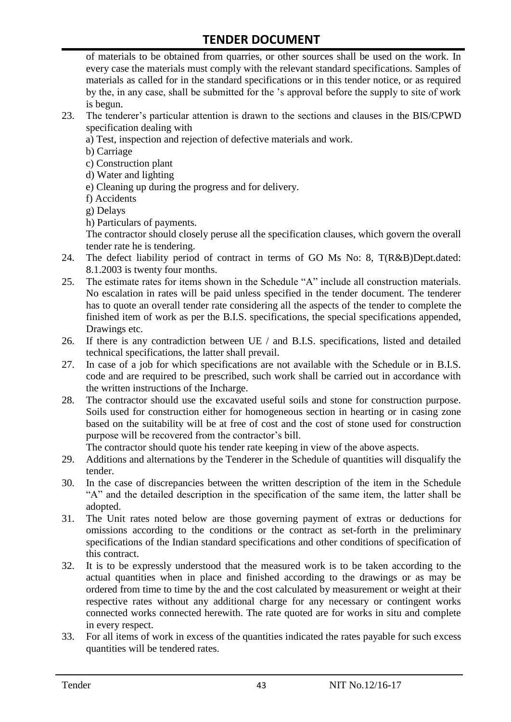of materials to be obtained from quarries, or other sources shall be used on the work. In every case the materials must comply with the relevant standard specifications. Samples of materials as called for in the standard specifications or in this tender notice, or as required by the, in any case, shall be submitted for the "s approval before the supply to site of work is begun.

- 23. The tenderer"s particular attention is drawn to the sections and clauses in the BIS/CPWD specification dealing with
	- a) Test, inspection and rejection of defective materials and work.
	- b) Carriage
	- c) Construction plant
	- d) Water and lighting
	- e) Cleaning up during the progress and for delivery.
	- f) Accidents
	- g) Delays
	- h) Particulars of payments.

The contractor should closely peruse all the specification clauses, which govern the overall tender rate he is tendering.

- 24. The defect liability period of contract in terms of GO Ms No: 8, T(R&B)Dept.dated: 8.1.2003 is twenty four months.
- 25. The estimate rates for items shown in the Schedule "A" include all construction materials. No escalation in rates will be paid unless specified in the tender document. The tenderer has to quote an overall tender rate considering all the aspects of the tender to complete the finished item of work as per the B.I.S. specifications, the special specifications appended, Drawings etc.
- 26. If there is any contradiction between UE / and B.I.S. specifications, listed and detailed technical specifications, the latter shall prevail.
- 27. In case of a job for which specifications are not available with the Schedule or in B.I.S. code and are required to be prescribed, such work shall be carried out in accordance with the written instructions of the Incharge.
- 28. The contractor should use the excavated useful soils and stone for construction purpose. Soils used for construction either for homogeneous section in hearting or in casing zone based on the suitability will be at free of cost and the cost of stone used for construction purpose will be recovered from the contractor's bill.

The contractor should quote his tender rate keeping in view of the above aspects.

- 29. Additions and alternations by the Tenderer in the Schedule of quantities will disqualify the tender.
- 30. In the case of discrepancies between the written description of the item in the Schedule "A" and the detailed description in the specification of the same item, the latter shall be adopted.
- 31. The Unit rates noted below are those governing payment of extras or deductions for omissions according to the conditions or the contract as set-forth in the preliminary specifications of the Indian standard specifications and other conditions of specification of this contract.
- 32. It is to be expressly understood that the measured work is to be taken according to the actual quantities when in place and finished according to the drawings or as may be ordered from time to time by the and the cost calculated by measurement or weight at their respective rates without any additional charge for any necessary or contingent works connected works connected herewith. The rate quoted are for works in situ and complete in every respect.
- 33. For all items of work in excess of the quantities indicated the rates payable for such excess quantities will be tendered rates.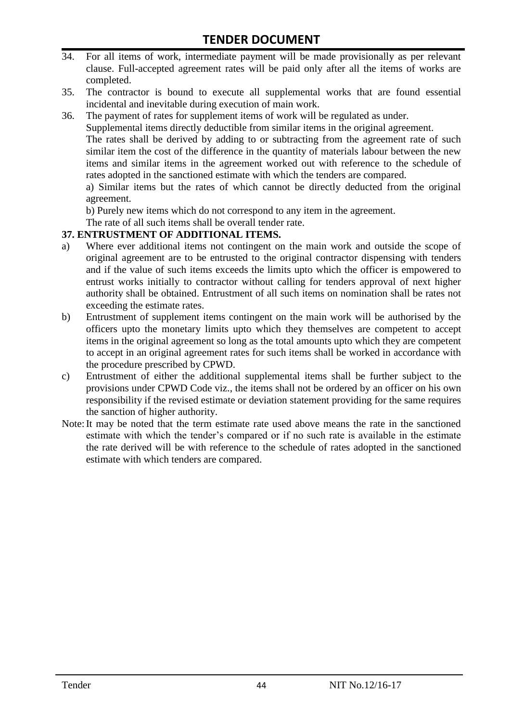- 34. For all items of work, intermediate payment will be made provisionally as per relevant clause. Full-accepted agreement rates will be paid only after all the items of works are completed.
- 35. The contractor is bound to execute all supplemental works that are found essential incidental and inevitable during execution of main work.
- 36. The payment of rates for supplement items of work will be regulated as under.

Supplemental items directly deductible from similar items in the original agreement.

The rates shall be derived by adding to or subtracting from the agreement rate of such similar item the cost of the difference in the quantity of materials labour between the new items and similar items in the agreement worked out with reference to the schedule of rates adopted in the sanctioned estimate with which the tenders are compared.

a) Similar items but the rates of which cannot be directly deducted from the original agreement.

b) Purely new items which do not correspond to any item in the agreement.

The rate of all such items shall be overall tender rate.

#### **37. ENTRUSTMENT OF ADDITIONAL ITEMS.**

- a) Where ever additional items not contingent on the main work and outside the scope of original agreement are to be entrusted to the original contractor dispensing with tenders and if the value of such items exceeds the limits upto which the officer is empowered to entrust works initially to contractor without calling for tenders approval of next higher authority shall be obtained. Entrustment of all such items on nomination shall be rates not exceeding the estimate rates.
- b) Entrustment of supplement items contingent on the main work will be authorised by the officers upto the monetary limits upto which they themselves are competent to accept items in the original agreement so long as the total amounts upto which they are competent to accept in an original agreement rates for such items shall be worked in accordance with the procedure prescribed by CPWD.
- c) Entrustment of either the additional supplemental items shall be further subject to the provisions under CPWD Code viz., the items shall not be ordered by an officer on his own responsibility if the revised estimate or deviation statement providing for the same requires the sanction of higher authority.
- Note:It may be noted that the term estimate rate used above means the rate in the sanctioned estimate with which the tender"s compared or if no such rate is available in the estimate the rate derived will be with reference to the schedule of rates adopted in the sanctioned estimate with which tenders are compared.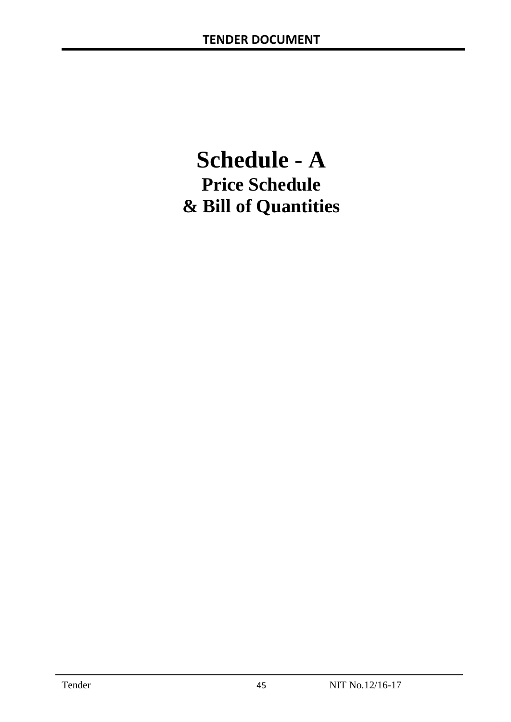# **Schedule - A Price Schedule & Bill of Quantities**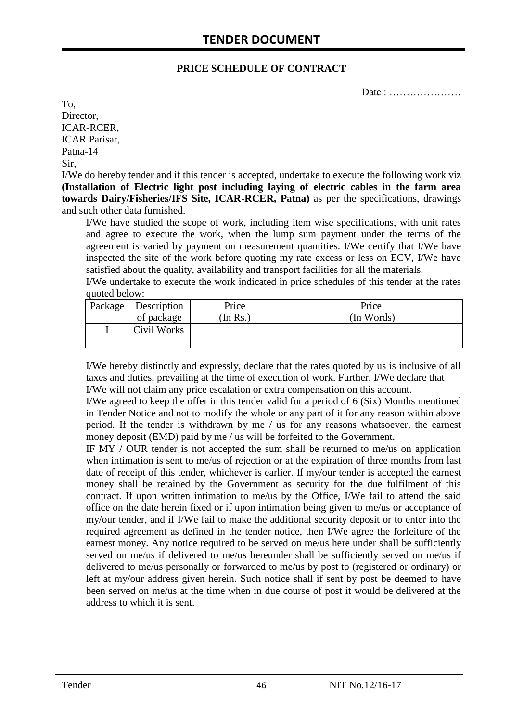#### **PRICE SCHEDULE OF CONTRACT**

Date : …………………

To, Director, ICAR-RCER, ICAR Parisar, Patna-14 Sir,

I/We do hereby tender and if this tender is accepted, undertake to execute the following work viz **(Installation of Electric light post including laying of electric cables in the farm area towards Dairy/Fisheries/IFS Site, ICAR-RCER, Patna)** as per the specifications, drawings and such other data furnished.

I/We have studied the scope of work, including item wise specifications, with unit rates and agree to execute the work, when the lump sum payment under the terms of the agreement is varied by payment on measurement quantities. I/We certify that I/We have inspected the site of the work before quoting my rate excess or less on ECV, I/We have satisfied about the quality, availability and transport facilities for all the materials.

I/We undertake to execute the work indicated in price schedules of this tender at the rates quoted below:

| Package   Description | Price   | Price      |
|-----------------------|---------|------------|
| of package            | In Rs.) | (In Words) |
| Civil Works           |         |            |

I/We hereby distinctly and expressly, declare that the rates quoted by us is inclusive of all taxes and duties, prevailing at the time of execution of work. Further, I/We declare that I/We will not claim any price escalation or extra compensation on this account.

I/We agreed to keep the offer in this tender valid for a period of 6 (Six) Months mentioned in Tender Notice and not to modify the whole or any part of it for any reason within above period. If the tender is withdrawn by me / us for any reasons whatsoever, the earnest money deposit (EMD) paid by me / us will be forfeited to the Government.

IF MY / OUR tender is not accepted the sum shall be returned to me/us on application when intimation is sent to me/us of rejection or at the expiration of three months from last date of receipt of this tender, whichever is earlier. If my/our tender is accepted the earnest money shall be retained by the Government as security for the due fulfilment of this contract. If upon written intimation to me/us by the Office, I/We fail to attend the said office on the date herein fixed or if upon intimation being given to me/us or acceptance of my/our tender, and if I/We fail to make the additional security deposit or to enter into the required agreement as defined in the tender notice, then I/We agree the forfeiture of the earnest money. Any notice required to be served on me/us here under shall be sufficiently served on me/us if delivered to me/us hereunder shall be sufficiently served on me/us if delivered to me/us personally or forwarded to me/us by post to (registered or ordinary) or left at my/our address given herein. Such notice shall if sent by post be deemed to have been served on me/us at the time when in due course of post it would be delivered at the address to which it is sent.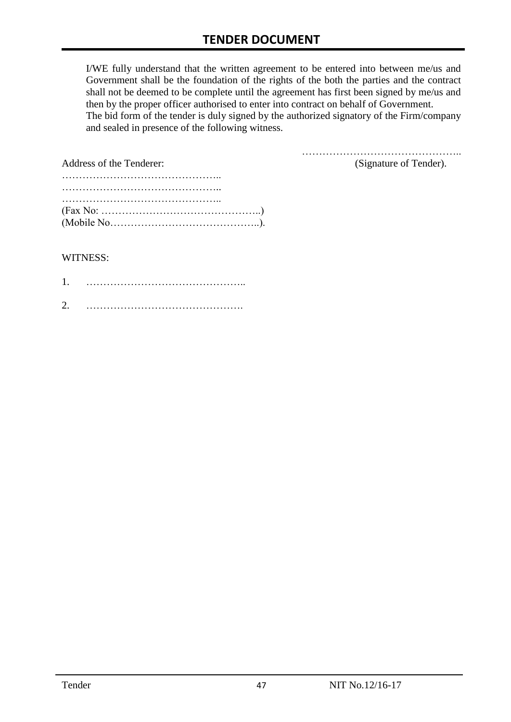I/WE fully understand that the written agreement to be entered into between me/us and Government shall be the foundation of the rights of the both the parties and the contract shall not be deemed to be complete until the agreement has first been signed by me/us and then by the proper officer authorised to enter into contract on behalf of Government. The bid form of the tender is duly signed by the authorized signatory of the Firm/company and sealed in presence of the following witness.

| Address of the Tenderer:                                                                  | (Signature of Tender). |
|-------------------------------------------------------------------------------------------|------------------------|
|                                                                                           |                        |
|                                                                                           |                        |
|                                                                                           |                        |
| $(Fax No: \dots \dots \dots \dots \dots \dots \dots \dots \dots \dots \dots \dots \dots)$ |                        |
|                                                                                           |                        |

#### WITNESS:

| ⌒ |  |
|---|--|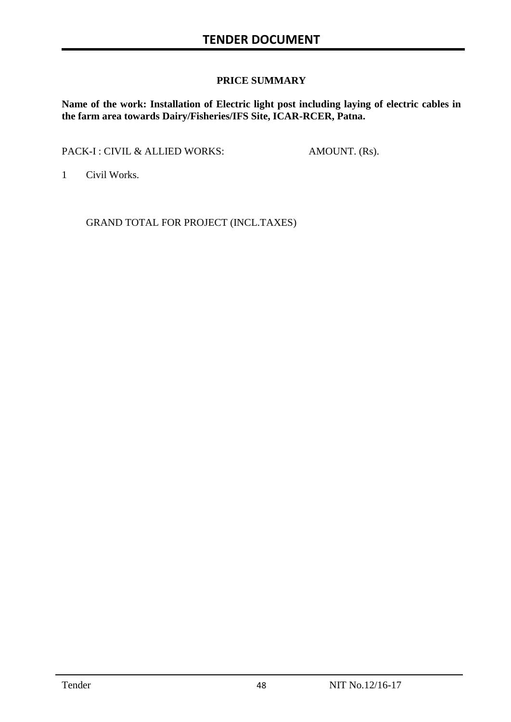#### **PRICE SUMMARY**

**Name of the work: Installation of Electric light post including laying of electric cables in the farm area towards Dairy/Fisheries/IFS Site, ICAR-RCER, Patna.**

PACK-I : CIVIL & ALLIED WORKS: AMOUNT. (Rs).

1 Civil Works.

GRAND TOTAL FOR PROJECT (INCL.TAXES)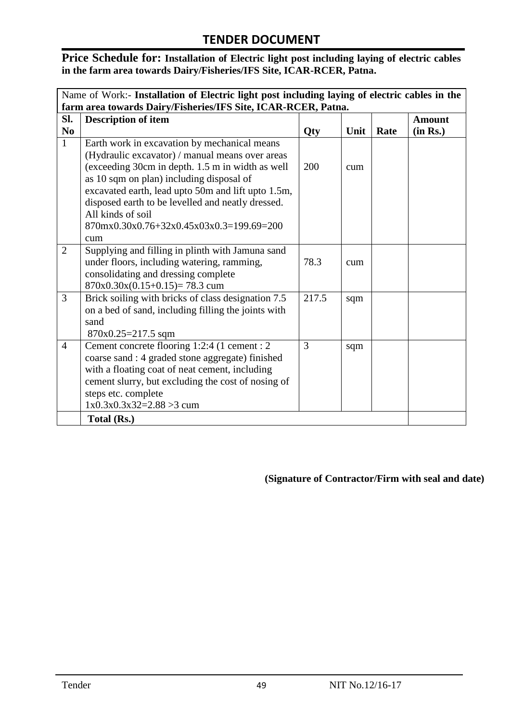**Price Schedule for: Installation of Electric light post including laying of electric cables in the farm area towards Dairy/Fisheries/IFS Site, ICAR-RCER, Patna.**

| Name of Work:- Installation of Electric light post including laying of electric cables in the |                                                                                                                                                                                                                                                                                                                                                                                    |       |      |      |               |
|-----------------------------------------------------------------------------------------------|------------------------------------------------------------------------------------------------------------------------------------------------------------------------------------------------------------------------------------------------------------------------------------------------------------------------------------------------------------------------------------|-------|------|------|---------------|
|                                                                                               | farm area towards Dairy/Fisheries/IFS Site, ICAR-RCER, Patna.                                                                                                                                                                                                                                                                                                                      |       |      |      |               |
| Sl.                                                                                           | <b>Description of item</b>                                                                                                                                                                                                                                                                                                                                                         |       |      |      | <b>Amount</b> |
| $\bf No$                                                                                      |                                                                                                                                                                                                                                                                                                                                                                                    | Qty   | Unit | Rate | (in Rs.)      |
| $\mathbf{1}$                                                                                  | Earth work in excavation by mechanical means<br>(Hydraulic excavator) / manual means over areas<br>(exceeding 30cm in depth. 1.5 m in width as well<br>as 10 sqm on plan) including disposal of<br>excavated earth, lead upto 50m and lift upto 1.5m,<br>disposed earth to be levelled and neatly dressed.<br>All kinds of soil<br>870mx0.30x0.76+32x0.45x03x0.3=199.69=200<br>cum | 200   | cum  |      |               |
| $\overline{2}$                                                                                | Supplying and filling in plinth with Jamuna sand<br>under floors, including watering, ramming,<br>consolidating and dressing complete<br>$870x0.30x(0.15+0.15)=78.3$ cum                                                                                                                                                                                                           | 78.3  | cum  |      |               |
| 3                                                                                             | Brick soiling with bricks of class designation 7.5<br>on a bed of sand, including filling the joints with<br>sand<br>$870x0.25=217.5$ sqm                                                                                                                                                                                                                                          | 217.5 | sqm  |      |               |
| $\overline{4}$                                                                                | Cement concrete flooring 1:2:4 (1 cement : 2)<br>coarse sand : 4 graded stone aggregate) finished<br>with a floating coat of neat cement, including<br>cement slurry, but excluding the cost of nosing of<br>steps etc. complete<br>$1x0.3x0.3x32=2.88>3$ cum                                                                                                                      | 3     | sqm  |      |               |
|                                                                                               | Total (Rs.)                                                                                                                                                                                                                                                                                                                                                                        |       |      |      |               |

#### **(Signature of Contractor/Firm with seal and date)**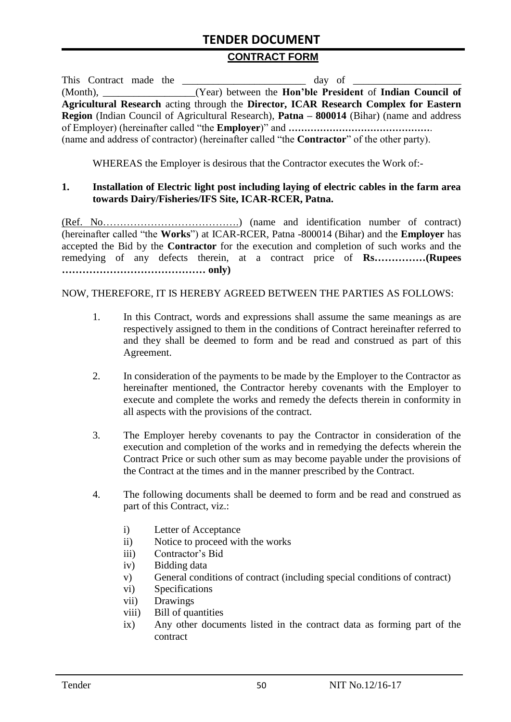#### **CONTRACT FORM**

|  |  | This Contract made the                                                                                   |
|--|--|----------------------------------------------------------------------------------------------------------|
|  |  | (Month), ________________(Year) between the Hon'ble President of Indian Council of                       |
|  |  | Agricultural Research acting through the Director, ICAR Research Complex for Eastern                     |
|  |  | <b>Region</b> (Indian Council of Agricultural Research), <b>Patna – 800014</b> (Bihar) (name and address |
|  |  |                                                                                                          |
|  |  | (name and address of contractor) (hereinafter called "the <b>Contractor</b> " of the other party).       |

WHEREAS the Employer is desirous that the Contractor executes the Work of:-

#### **1. Installation of Electric light post including laying of electric cables in the farm area towards Dairy/Fisheries/IFS Site, ICAR-RCER, Patna.**

(Ref. No………………………………….) (name and identification number of contract) (hereinafter called "the **Works**") at ICAR-RCER, Patna -800014 (Bihar) and the **Employer** has accepted the Bid by the **Contractor** for the execution and completion of such works and the remedying of any defects therein, at a contract price of **Rs……………(Rupees …………………………………… only)**

#### NOW, THEREFORE, IT IS HEREBY AGREED BETWEEN THE PARTIES AS FOLLOWS:

- 1. In this Contract, words and expressions shall assume the same meanings as are respectively assigned to them in the conditions of Contract hereinafter referred to and they shall be deemed to form and be read and construed as part of this Agreement.
- 2. In consideration of the payments to be made by the Employer to the Contractor as hereinafter mentioned, the Contractor hereby covenants with the Employer to execute and complete the works and remedy the defects therein in conformity in all aspects with the provisions of the contract.
- 3. The Employer hereby covenants to pay the Contractor in consideration of the execution and completion of the works and in remedying the defects wherein the Contract Price or such other sum as may become payable under the provisions of the Contract at the times and in the manner prescribed by the Contract.
- 4. The following documents shall be deemed to form and be read and construed as part of this Contract, viz.:
	- i) Letter of Acceptance
	- ii) Notice to proceed with the works
	- iii) Contractor's Bid
	- iv) Bidding data
	- v) General conditions of contract (including special conditions of contract)
	- vi) Specifications
	- vii) Drawings
	- viii) Bill of quantities
	- ix) Any other documents listed in the contract data as forming part of the contract